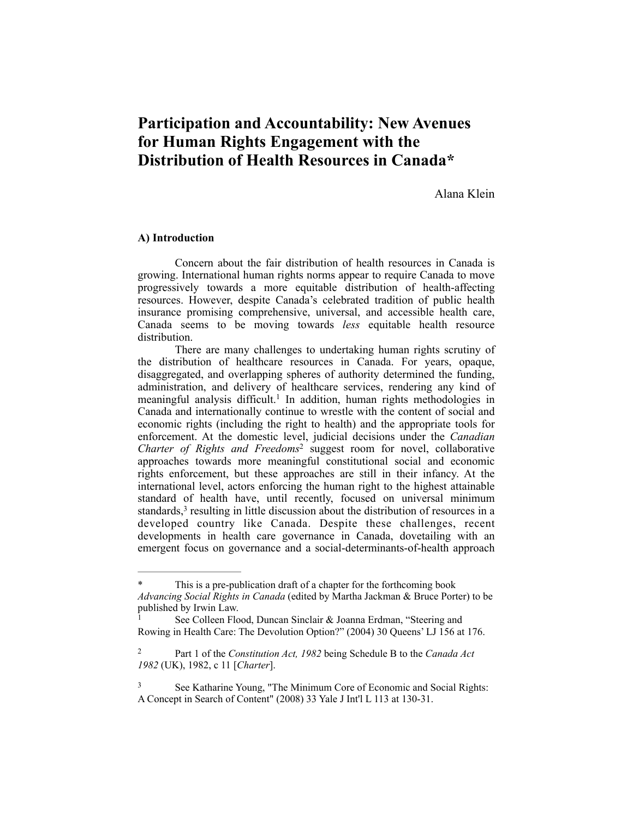# **Participation and Accountability: New Avenues for Human Rights Engagement with the Distribution of Health Resources in Canada\***

Alana Klein

### **A) Introduction**

Concern about the fair distribution of health resources in Canada is growing. International human rights norms appear to require Canada to move progressively towards a more equitable distribution of health-affecting resources. However, despite Canada's celebrated tradition of public health insurance promising comprehensive, universal, and accessible health care, Canada seems to be moving towards *less* equitable health resource distribution.

There are many challenges to undertaking human rights scrutiny of the distribution of healthcare resources in Canada. For years, opaque, disaggregated, and overlapping spheres of authority determined the funding, administration, and delivery of healthcare services, rendering any kind of meaningful analysis difficult.<sup>1</sup> In addition, human rights methodologies in Canada and internationally continue to wrestle with the content of social and economic rights (including the right to health) and the appropriate tools for enforcement. At the domestic level, judicial decisions under the *Canadian Charter of Rights and Freedoms<sup>2</sup>* suggest room for novel, collaborative approaches towards more meaningful constitutional social and economic rights enforcement, but these approaches are still in their infancy. At the international level, actors enforcing the human right to the highest attainable standard of health have, until recently, focused on universal minimum standards, $3$  resulting in little discussion about the distribution of resources in a developed country like Canada. Despite these challenges, recent developments in health care governance in Canada, dovetailing with an emergent focus on governance and a social-determinants-of-health approach

This is a pre-publication draft of a chapter for the forthcoming book *Advancing Social Rights in Canada* (edited by Martha Jackman & Bruce Porter) to be published by Irwin Law.

See Colleen Flood, Duncan Sinclair & Joanna Erdman, "Steering and Rowing in Health Care: The Devolution Option?" (2004) 30 Queens' LJ 156 at 176.

Part 1 of the *Constitution Act, 1982* being Schedule B to the *Canada Act* <sup>2</sup> *1982* (UK), 1982, c 11 [*Charter*].

<sup>&</sup>lt;sup>3</sup> See Katharine Young, "The Minimum Core of Economic and Social Rights: A Concept in Search of Content" (2008) 33 Yale J Int'l L 113 at 130-31.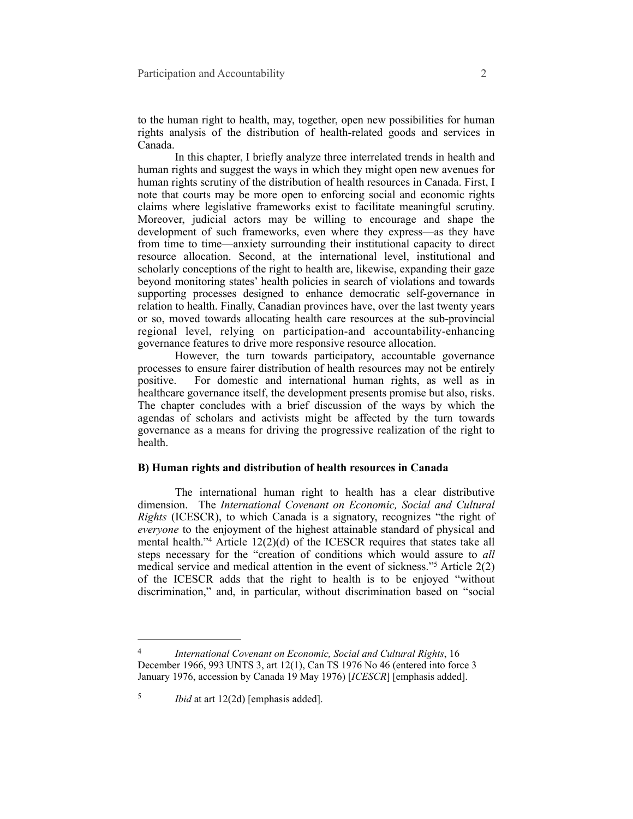to the human right to health, may, together, open new possibilities for human rights analysis of the distribution of health-related goods and services in Canada.

In this chapter, I briefly analyze three interrelated trends in health and human rights and suggest the ways in which they might open new avenues for human rights scrutiny of the distribution of health resources in Canada. First, I note that courts may be more open to enforcing social and economic rights claims where legislative frameworks exist to facilitate meaningful scrutiny. Moreover, judicial actors may be willing to encourage and shape the development of such frameworks, even where they express—as they have from time to time—anxiety surrounding their institutional capacity to direct resource allocation. Second, at the international level, institutional and scholarly conceptions of the right to health are, likewise, expanding their gaze beyond monitoring states' health policies in search of violations and towards supporting processes designed to enhance democratic self-governance in relation to health. Finally, Canadian provinces have, over the last twenty years or so, moved towards allocating health care resources at the sub-provincial regional level, relying on participation-and accountability-enhancing governance features to drive more responsive resource allocation.

However, the turn towards participatory, accountable governance processes to ensure fairer distribution of health resources may not be entirely positive. For domestic and international human rights, as well as in healthcare governance itself, the development presents promise but also, risks. The chapter concludes with a brief discussion of the ways by which the agendas of scholars and activists might be affected by the turn towards governance as a means for driving the progressive realization of the right to health.

### **B) Human rights and distribution of health resources in Canada**

The international human right to health has a clear distributive dimension. The *International Covenant on Economic, Social and Cultural Rights* (ICESCR), to which Canada is a signatory, recognizes "the right of *everyone* to the enjoyment of the highest attainable standard of physical and mental health."<sup>4</sup> Article 12(2)(d) of the ICESCR requires that states take all steps necessary for the "creation of conditions which would assure to *all* medical service and medical attention in the event of sickness."<sup>5</sup> Article  $2(2)$ of the ICESCR adds that the right to health is to be enjoyed "without discrimination," and, in particular, without discrimination based on "social

<sup>5</sup> *Ibid* at art 12(2d) [emphasis added].

*International Covenant on Economic, Social and Cultural Rights*, 16 4 December 1966, 993 UNTS 3, art 12(1), Can TS 1976 No 46 (entered into force 3 January 1976, accession by Canada 19 May 1976) [*ICESCR*] [emphasis added].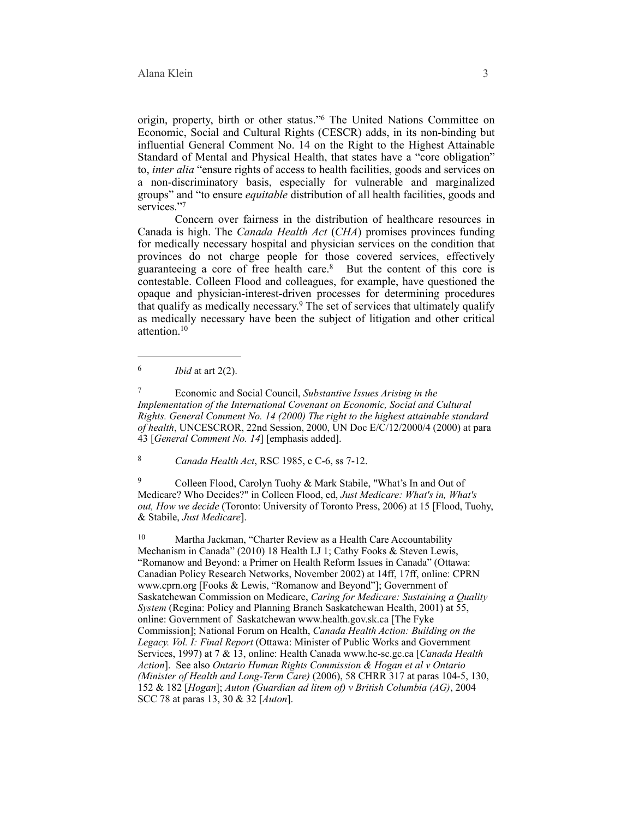origin, property, birth or other status."<sup>6</sup> The United Nations Committee on Economic, Social and Cultural Rights (CESCR) adds, in its non-binding but influential General Comment No. 14 on the Right to the Highest Attainable Standard of Mental and Physical Health, that states have a "core obligation" to, *inter alia* "ensure rights of access to health facilities, goods and services on a non-discriminatory basis, especially for vulnerable and marginalized groups" and "to ensure *equitable* distribution of all health facilities, goods and services."7

Concern over fairness in the distribution of healthcare resources in Canada is high. The *Canada Health Act* (*CHA*) promises provinces funding for medically necessary hospital and physician services on the condition that provinces do not charge people for those covered services, effectively guaranteeing a core of free health care. $8$  But the content of this core is contestable. Colleen Flood and colleagues, for example, have questioned the opaque and physician-interest-driven processes for determining procedures that qualify as medically necessary.<sup>9</sup> The set of services that ultimately qualify as medically necessary have been the subject of litigation and other critical attention.10

 *<i>Ibid* at art 2(2).

 Economic and Social Council, *Substantive Issues Arising in the* <sup>7</sup> *Implementation of the International Covenant on Economic, Social and Cultural Rights. General Comment No. 14 (2000) The right to the highest attainable standard of health*, UNCESCROR, 22nd Session, 2000, UN Doc E/C/12/2000/4 (2000) at para 43 [*General Comment No. 14*] [emphasis added].

<sup>8</sup> Canada Health Act, RSC 1985, c C-6, ss 7-12.

<sup>9</sup> Colleen Flood, Carolyn Tuohy & Mark Stabile, "What's In and Out of Medicare? Who Decides?" in Colleen Flood, ed, *Just Medicare: What's in, What's out, How we decide* (Toronto: University of Toronto Press, 2006) at 15 [Flood, Tuohy, & Stabile, *Just Medicare*].

<sup>10</sup> Martha Jackman, "Charter Review as a Health Care Accountability Mechanism in Canada" (2010) 18 Health LJ 1; Cathy Fooks & Steven Lewis, "Romanow and Beyond: a Primer on Health Reform Issues in Canada" (Ottawa: Canadian Policy Research Networks, November 2002) at 14ff, 17ff, online: CPRN [www.cprn.org](http://www.cprn.org) [Fooks & Lewis, "Romanow and Beyond"]; Government of Saskatchewan Commission on Medicare, *Caring for Medicare: Sustaining a Quality System* (Regina: Policy and Planning Branch Saskatchewan Health, 2001) at 55, online: Government of Saskatchewan [www.health.gov.sk.ca](http://www.health.gov.sk.ca) [The Fyke Commission]; National Forum on Health, *Canada Health Action: Building on the Legacy. Vol. I: Final Report* (Ottawa: Minister of Public Works and Government Services, 1997) at 7 & 13, online: Health Canada [www.hc-sc.gc.ca](http://www.hc-sc.gc.ca) [*Canada Health Action*]. See also *Ontario Human Rights Commission & Hogan et al v Ontario (Minister of Health and Long-Term Care)* (2006), 58 CHRR 317 at paras 104-5, 130, 152 & 182 [*Hogan*]; *Auton (Guardian ad litem of) v British Columbia (AG)*, 2004 SCC 78 at paras 13, 30 & 32 [*Auton*].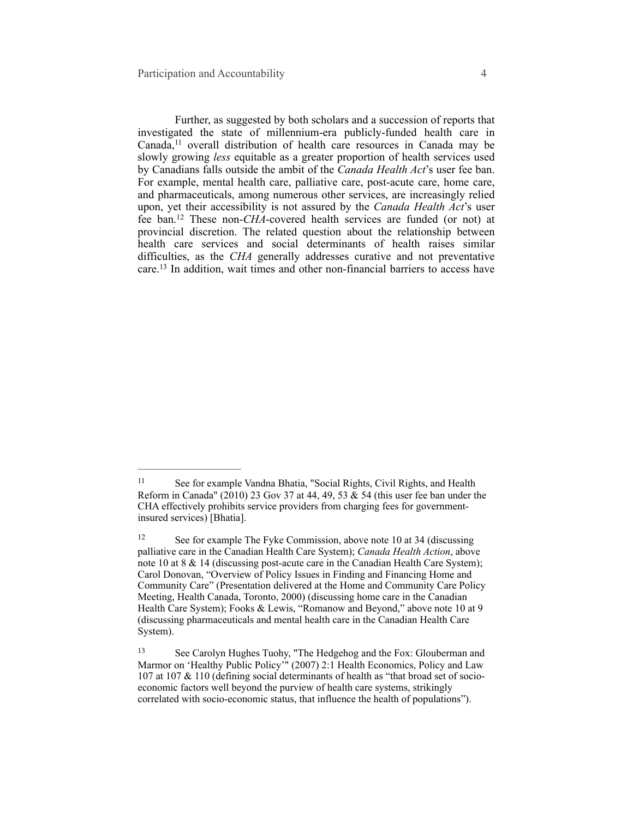Further, as suggested by both scholars and a succession of reports that investigated the state of millennium-era publicly-funded health care in Canada, <sup>11</sup> overall distribution of health care resources in Canada may be slowly growing *less* equitable as a greater proportion of health services used by Canadians falls outside the ambit of the *Canada Health Act*'s user fee ban. For example, mental health care, palliative care, post-acute care, home care, and pharmaceuticals, among numerous other services, are increasingly relied upon, yet their accessibility is not assured by the *Canada Health Act*'s user fee ban.<sup>12</sup> These non-*CHA*-covered health services are funded (or not) at provincial discretion. The related question about the relationship between health care services and social determinants of health raises similar difficulties, as the *CHA* generally addresses curative and not preventative care.<sup>13</sup> In addition, wait times and other non-financial barriers to access have

<sup>&</sup>lt;sup>11</sup> See for example Vandna Bhatia, "Social Rights, Civil Rights, and Health Reform in Canada" (2010) 23 Gov 37 at 44, 49, 53 & 54 (this user fee ban under the CHA effectively prohibits service providers from charging fees for governmentinsured services) [Bhatia].

<sup>&</sup>lt;sup>12</sup> See for example The Fyke Commission, above note 10 at 34 (discussing palliative care in the Canadian Health Care System); *Canada Health Action*, above note 10 at 8 & 14 (discussing post-acute care in the Canadian Health Care System); Carol Donovan, "Overview of Policy Issues in Finding and Financing Home and Community Care" (Presentation delivered at the Home and Community Care Policy Meeting, Health Canada, Toronto, 2000) (discussing home care in the Canadian Health Care System); Fooks & Lewis, "Romanow and Beyond," above note 10 at 9 (discussing pharmaceuticals and mental health care in the Canadian Health Care System).

See Carolyn Hughes Tuohy, "The Hedgehog and the Fox: Glouberman and 13 Marmor on 'Healthy Public Policy'" (2007) 2:1 Health Economics, Policy and Law 107 at 107 & 110 (defining social determinants of health as "that broad set of socioeconomic factors well beyond the purview of health care systems, strikingly correlated with socio-economic status, that influence the health of populations").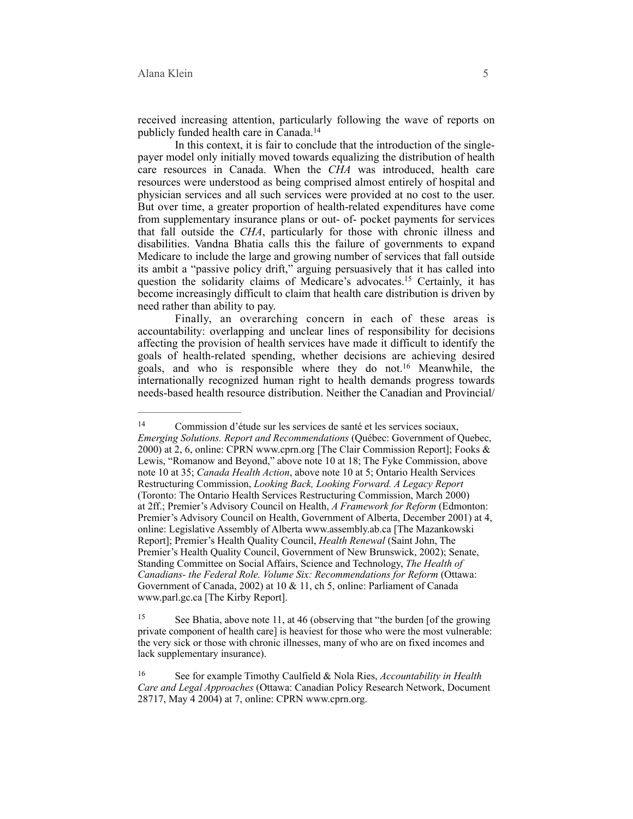received increasing attention, particularly following the wave of reports on publicly funded health care in Canada. 14

In this context, it is fair to conclude that the introduction of the singlepayer model only initially moved towards equalizing the distribution of health care resources in Canada. When the *CHA* was introduced, health care resources were understood as being comprised almost entirely of hospital and physician services and all such services were provided at no cost to the user. But over time, a greater proportion of health-related expenditures have come from supplementary insurance plans or out- of- pocket payments for services that fall outside the *CHA*, particularly for those with chronic illness and disabilities. Vandna Bhatia calls this the failure of governments to expand Medicare to include the large and growing number of services that fall outside its ambit a "passive policy drift," arguing persuasively that it has called into question the solidarity claims of Medicare's advocates.<sup>15</sup> Certainly, it has become increasingly difficult to claim that health care distribution is driven by need rather than ability to pay.

Finally, an overarching concern in each of these areas is accountability: overlapping and unclear lines of responsibility for decisions affecting the provision of health services have made it difficult to identify the goals of health-related spending, whether decisions are achieving desired goals, and who is responsible where they do not.<sup>16</sup> Meanwhile, the internationally recognized human right to health demands progress towards needs-based health resource distribution. Neither the Canadian and Provincial/

Commission d'étude sur les services de santé et les services sociaux, 14 *Emerging Solutions. Report and Recommendations* (Québec: Government of Quebec, 2000) at 2, 6, online: CPRN [www.cprn.org](http://www.cprn.org) [The Clair Commission Report]; Fooks & Lewis, "Romanow and Beyond," above note 10 at 18; The Fyke Commission, above note 10 at 35; *Canada Health Action*, above note 10 at 5; Ontario Health Services Restructuring Commission, *Looking Back, Looking Forward. A Legacy Report* (Toronto: The Ontario Health Services Restructuring Commission, March 2000) at 2ff.; Premier's Advisory Council on Health, *A Framework for Reform* (Edmonton: Premier's Advisory Council on Health, Government of Alberta, December 2001) at 4, online: Legislative Assembly of Alberta www.assembly.ab.ca [The Mazankowski Report]; Premier's Health Quality Council, *Health Renewal* (Saint John, The Premier's Health Quality Council, Government of New Brunswick, 2002); Senate, Standing Committee on Social Affairs, Science and Technology, *The Health of Canadians- the Federal Role. Volume Six: Recommendations for Reform* (Ottawa: Government of Canada, 2002) at 10 & 11, ch 5, online: Parliament of Canada www.parl.gc.ca [The Kirby Report].

<sup>&</sup>lt;sup>15</sup> See Bhatia, above note 11, at 46 (observing that "the burden [of the growing private component of health care] is heaviest for those who were the most vulnerable: the very sick or those with chronic illnesses, many of who are on fixed incomes and lack supplementary insurance).

See for example Timothy Caulfield & Nola Ries, *Accountability in Health* <sup>16</sup> *Care and Legal Approaches* (Ottawa: Canadian Policy Research Network, Document 28717, May 4 2004) at 7, online: CPRN www.cprn.org.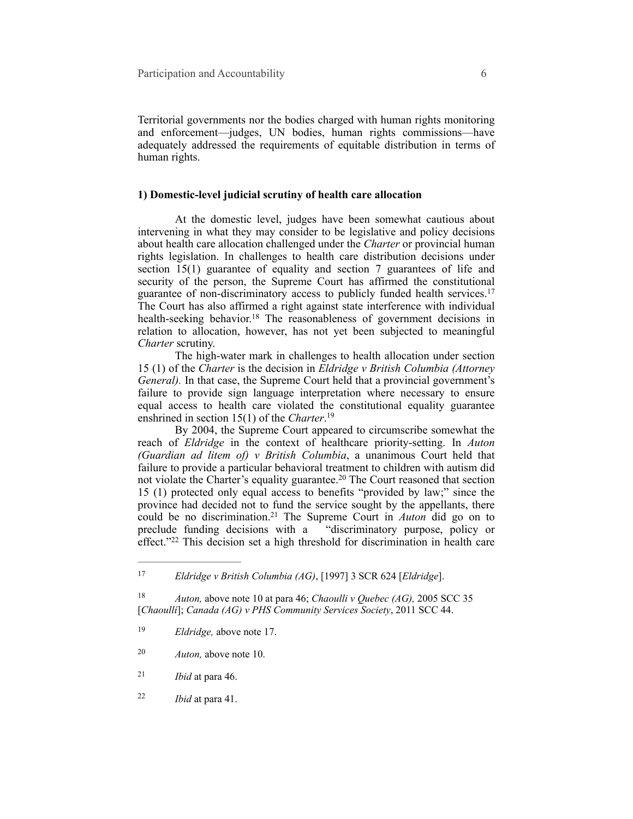Territorial governments nor the bodies charged with human rights monitoring and enforcement—judges, UN bodies, human rights commissions—have adequately addressed the requirements of equitable distribution in terms of human rights.

### **1) Domestic-level judicial scrutiny of health care allocation**

At the domestic level, judges have been somewhat cautious about intervening in what they may consider to be legislative and policy decisions about health care allocation challenged under the *Charter* or provincial human rights legislation. In challenges to health care distribution decisions under section 15(1) guarantee of equality and section 7 guarantees of life and security of the person, the Supreme Court has affirmed the constitutional guarantee of non-discriminatory access to publicly funded health services.<sup>17</sup> The Court has also affirmed a right against state interference with individual health-seeking behavior.<sup>18</sup> The reasonableness of government decisions in relation to allocation, however, has not yet been subjected to meaningful *Charter* scrutiny.

The high-water mark in challenges to health allocation under section 15 (1) of the *Charter* is the decision in *Eldridge v British Columbia (Attorney General).* In that case, the Supreme Court held that a provincial government's failure to provide sign language interpretation where necessary to ensure equal access to health care violated the constitutional equality guarantee enshrined in section 15(1) of the *Charter*.<sup>19</sup>

By 2004, the Supreme Court appeared to circumscribe somewhat the reach of *Eldridge* in the context of healthcare priority-setting. In *Auton (Guardian ad litem of) v British Columbia*, a unanimous Court held that failure to provide a particular behavioral treatment to children with autism did not violate the Charter's equality guarantee.<sup>20</sup> The Court reasoned that section 15 (1) protected only equal access to benefits "provided by law;" since the province had decided not to fund the service sought by the appellants, there could be no discrimination.<sup>21</sup> The Supreme Court in *Auton* did go on to preclude funding decisions with a "discriminatory purpose, policy or "discriminatory purpose, policy or effect." $22$  This decision set a high threshold for discrimination in health care

- <sup>19</sup> *Eldridge*, above note 17.
- <sup>20</sup> *Auton*, above note 10.
- *Ibid* at para 46. <sup>21</sup>
- *Ibid* at para 41. 22

*Eldridge v British Columbia (AG)*, [1997] 3 SCR 624 [*Eldridge*]. <sup>17</sup>

<sup>&</sup>lt;sup>18</sup> *Auton, above note 10 at para 46; <i>Chaoulli v Quebec (AG), 2005 SCC 35* [*Chaoulli*]; *Canada (AG) v PHS Community Services Society*, 2011 SCC 44.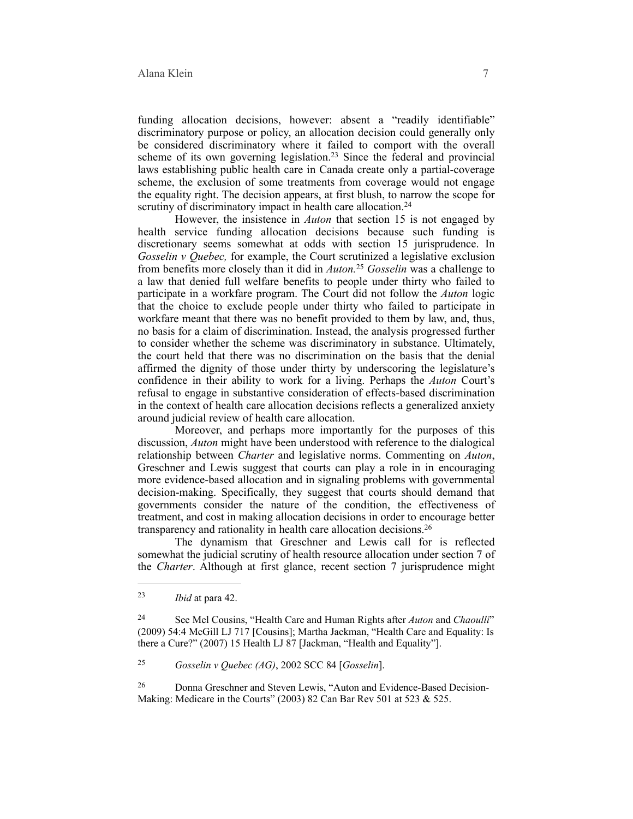funding allocation decisions, however: absent a "readily identifiable" discriminatory purpose or policy, an allocation decision could generally only be considered discriminatory where it failed to comport with the overall scheme of its own governing legislation.<sup>23</sup> Since the federal and provincial laws establishing public health care in Canada create only a partial-coverage scheme, the exclusion of some treatments from coverage would not engage the equality right. The decision appears, at first blush, to narrow the scope for scrutiny of discriminatory impact in health care allocation.<sup>24</sup>

However, the insistence in *Auton* that section 15 is not engaged by health service funding allocation decisions because such funding is discretionary seems somewhat at odds with section 15 jurisprudence. In *Gosselin v Quebec,* for example, the Court scrutinized a legislative exclusion from benefits more closely than it did in *Auton*.<sup>25</sup> Gosselin was a challenge to a law that denied full welfare benefits to people under thirty who failed to participate in a workfare program. The Court did not follow the *Auton* logic that the choice to exclude people under thirty who failed to participate in workfare meant that there was no benefit provided to them by law, and, thus, no basis for a claim of discrimination. Instead, the analysis progressed further to consider whether the scheme was discriminatory in substance. Ultimately, the court held that there was no discrimination on the basis that the denial affirmed the dignity of those under thirty by underscoring the legislature's confidence in their ability to work for a living. Perhaps the *Auton* Court's refusal to engage in substantive consideration of effects-based discrimination in the context of health care allocation decisions reflects a generalized anxiety around judicial review of health care allocation.

Moreover, and perhaps more importantly for the purposes of this discussion, *Auton* might have been understood with reference to the dialogical relationship between *Charter* and legislative norms. Commenting on *Auton*, Greschner and Lewis suggest that courts can play a role in in encouraging more evidence-based allocation and in signaling problems with governmental decision-making. Specifically, they suggest that courts should demand that governments consider the nature of the condition, the effectiveness of treatment, and cost in making allocation decisions in order to encourage better transparency and rationality in health care allocation decisions.26

The dynamism that Greschner and Lewis call for is reflected somewhat the judicial scrutiny of health resource allocation under section 7 of the *Charter*. Although at first glance, recent section 7 jurisprudence might

<sup>&</sup>lt;sup>23</sup> *Ibid* at para 42.

See Mel Cousins, "Health Care and Human Rights after *Auton* and *Chaoulli*" 24 (2009) 54:4 McGill LJ 717 [Cousins]; Martha Jackman, "Health Care and Equality: Is there a Cure?" (2007) 15 Health LJ 87 [Jackman, "Health and Equality"].

*Gosselin v Quebec (AG)*, 2002 SCC 84 [*Gosselin*]. <sup>25</sup>

Donna Greschner and Steven Lewis, "Auton and Evidence-Based Decision- <sup>26</sup> Making: Medicare in the Courts" (2003) 82 Can Bar Rev 501 at 523 & 525.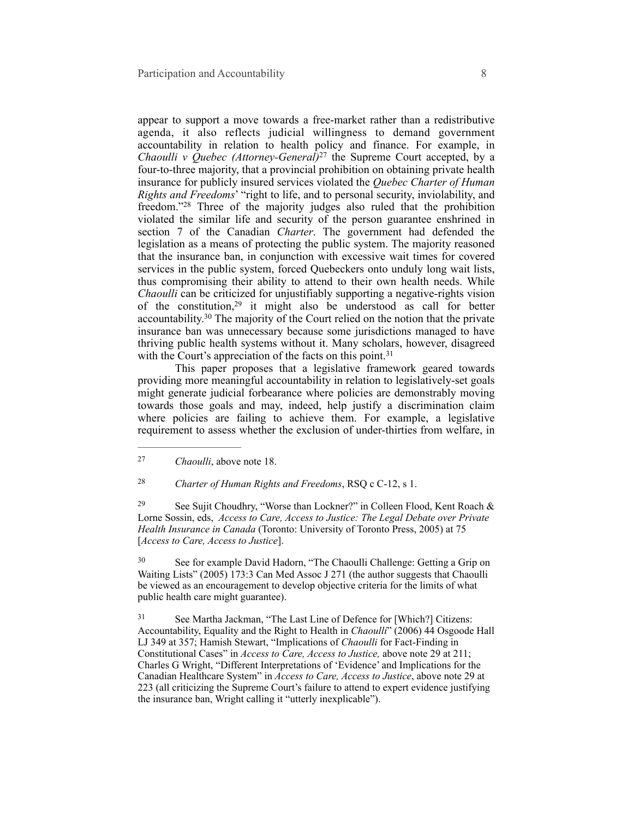appear to support a move towards a free-market rather than a redistributive agenda, it also reflects judicial willingness to demand government accountability in relation to health policy and finance. For example, in *Chaoulli v Quebec (Attorney-General)<sup>27</sup>* the Supreme Court accepted, by a four-to-three majority, that a provincial prohibition on obtaining private health insurance for publicly insured services violated the *Quebec Charter of Human Rights and Freedoms*' "right to life, and to personal security, inviolability, and freedom."<sup>28</sup> Three of the majority judges also ruled that the prohibition violated the similar life and security of the person guarantee enshrined in section 7 of the Canadian *Charter*. The government had defended the legislation as a means of protecting the public system. The majority reasoned that the insurance ban, in conjunction with excessive wait times for covered services in the public system, forced Quebeckers onto unduly long wait lists, thus compromising their ability to attend to their own health needs. While *Chaoulli* can be criticized for unjustifiably supporting a negative-rights vision of the constitution,<sup>29</sup> it might also be understood as call for better accountability.<sup>30</sup> The majority of the Court relied on the notion that the private insurance ban was unnecessary because some jurisdictions managed to have thriving public health systems without it. Many scholars, however, disagreed with the Court's appreciation of the facts on this point.<sup>31</sup>

This paper proposes that a legislative framework geared towards providing more meaningful accountability in relation to legislatively-set goals might generate judicial forbearance where policies are demonstrably moving towards those goals and may, indeed, help justify a discrimination claim where policies are failing to achieve them. For example, a legislative requirement to assess whether the exclusion of under-thirties from welfare, in

<sup>29</sup> See Sujit Choudhry, "Worse than Lockner?" in Colleen Flood, Kent Roach  $\&$ Lorne Sossin, eds, *Access to Care, Access to Justice: The Legal Debate over Private Health Insurance in Canada* (Toronto: University of Toronto Press, 2005) at 75 [*Access to Care, Access to Justice*].

<sup>30</sup> See for example David Hadorn, "The Chaoulli Challenge: Getting a Grip on Waiting Lists" (2005) 173:3 Can Med Assoc J 271 (the author suggests that Chaoulli be viewed as an encouragement to develop objective criteria for the limits of what public health care might guarantee).

 See Martha Jackman, "The Last Line of Defence for [Which?] Citizens: 31 Accountability, Equality and the Right to Health in *Chaoulli*" (2006) 44 Osgoode Hall LJ 349 at 357; Hamish Stewart, "Implications of *Chaoulli* for Fact-Finding in Constitutional Cases" in *Access to Care, Access to Justice,* above note 29 at 211; Charles G Wright, "Different Interpretations of 'Evidence' and Implications for the Canadian Healthcare System" in *Access to Care, Access to Justice*, above note 29 at 223 (all criticizing the Supreme Court's failure to attend to expert evidence justifying the insurance ban, Wright calling it "utterly inexplicable").

*Chaoulli*, above note 18. 27

<sup>&</sup>lt;sup>28</sup> *Charter of Human Rights and Freedoms*, RSQ c C-12, s 1.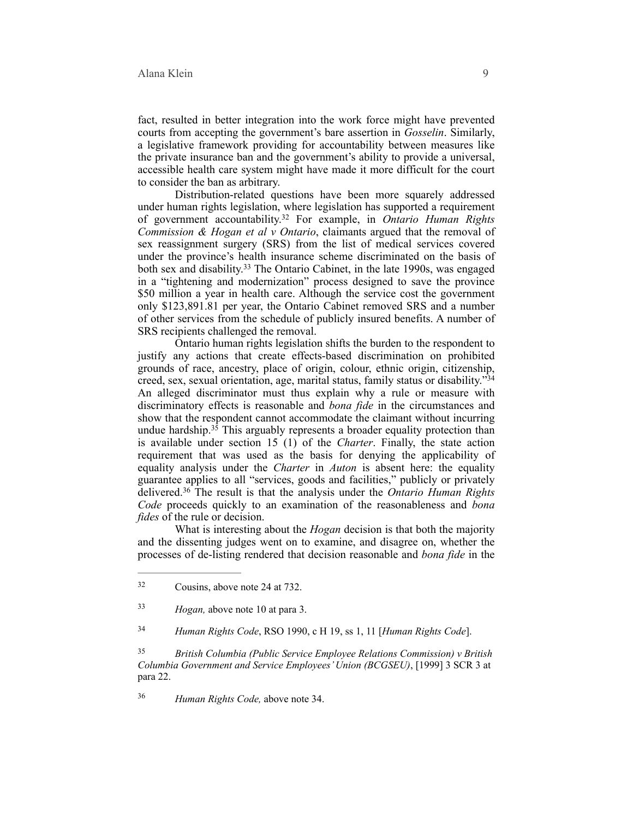fact, resulted in better integration into the work force might have prevented courts from accepting the government's bare assertion in *Gosselin*. Similarly, a legislative framework providing for accountability between measures like the private insurance ban and the government's ability to provide a universal, accessible health care system might have made it more difficult for the court to consider the ban as arbitrary.

Distribution-related questions have been more squarely addressed under human rights legislation, where legislation has supported a requirement of government accountability.<sup>32</sup> For example, in *Ontario Human Rights Commission & Hogan et al v Ontario*, claimants argued that the removal of sex reassignment surgery (SRS) from the list of medical services covered under the province's health insurance scheme discriminated on the basis of both sex and disability.<sup>33</sup> The Ontario Cabinet, in the late 1990s, was engaged in a "tightening and modernization" process designed to save the province \$50 million a year in health care. Although the service cost the government only \$123,891.81 per year, the Ontario Cabinet removed SRS and a number of other services from the schedule of publicly insured benefits. A number of SRS recipients challenged the removal.

Ontario human rights legislation shifts the burden to the respondent to justify any actions that create effects-based discrimination on prohibited grounds of race, ancestry, place of origin, colour, ethnic origin, citizenship, creed, sex, sexual orientation, age, marital status, family status or disability."34 An alleged discriminator must thus explain why a rule or measure with discriminatory effects is reasonable and *bona fide* in the circumstances and show that the respondent cannot accommodate the claimant without incurring undue hardship. $35$  This arguably represents a broader equality protection than is available under section 15 (1) of the *Charter*. Finally, the state action requirement that was used as the basis for denying the applicability of equality analysis under the *Charter* in *Auton* is absent here: the equality guarantee applies to all "services, goods and facilities," publicly or privately delivered.<sup>36</sup> The result is that the analysis under the *Ontario Human Rights Code* proceeds quickly to an examination of the reasonableness and *bona fides* of the rule or decision.

What is interesting about the *Hogan* decision is that both the majority and the dissenting judges went on to examine, and disagree on, whether the processes of de-listing rendered that decision reasonable and *bona fide* in the

*Human Rights Code*, RSO 1990, c H 19, ss 1, 11 [*Human Rights Code*]. <sup>34</sup>

 *British Columbia (Public Service Employee Relations Commission) v British* <sup>35</sup> *Columbia Government and Service Employees' Union (BCGSEU)*, [1999] 3 SCR 3 at para 22.

*Human Rights Code,* above note 34. 36

Cousins, above note 24 at 732. <sup>32</sup>

<sup>&</sup>lt;sup>33</sup> *Hogan,* above note 10 at para 3.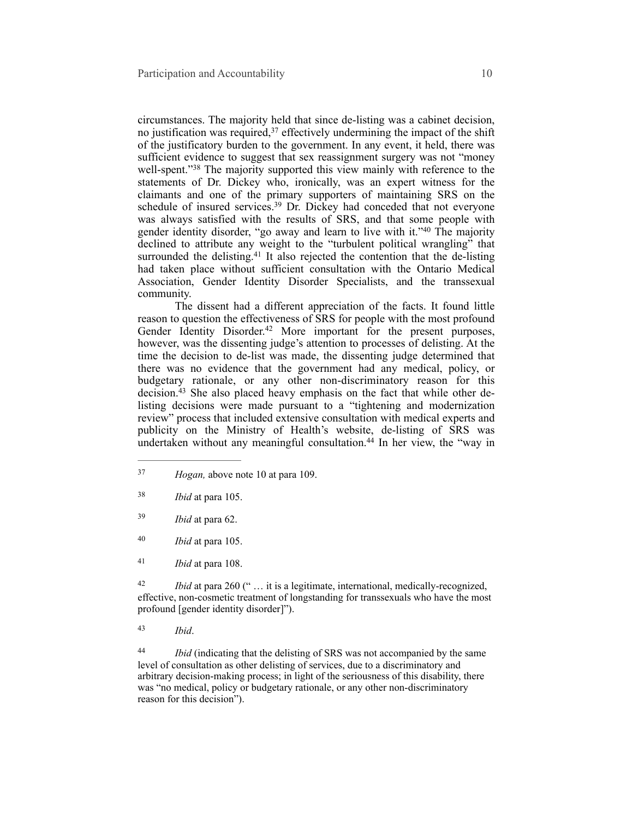circumstances. The majority held that since de-listing was a cabinet decision, no justification was required, $37$  effectively undermining the impact of the shift of the justificatory burden to the government. In any event, it held, there was sufficient evidence to suggest that sex reassignment surgery was not "money well-spent."<sup>38</sup> The majority supported this view mainly with reference to the statements of Dr. Dickey who, ironically, was an expert witness for the claimants and one of the primary supporters of maintaining SRS on the schedule of insured services.<sup>39</sup> Dr. Dickey had conceded that not everyone was always satisfied with the results of SRS, and that some people with gender identity disorder, "go away and learn to live with it."<sup>40</sup> The majority declined to attribute any weight to the "turbulent political wrangling" that surrounded the delisting. $41$  It also rejected the contention that the de-listing had taken place without sufficient consultation with the Ontario Medical Association, Gender Identity Disorder Specialists, and the transsexual community.

The dissent had a different appreciation of the facts. It found little reason to question the effectiveness of SRS for people with the most profound Gender Identity Disorder.<sup>42</sup> More important for the present purposes, however, was the dissenting judge's attention to processes of delisting. At the time the decision to de-list was made, the dissenting judge determined that there was no evidence that the government had any medical, policy, or budgetary rationale, or any other non-discriminatory reason for this decision. $43$  She also placed heavy emphasis on the fact that while other delisting decisions were made pursuant to a "tightening and modernization review" process that included extensive consultation with medical experts and publicity on the Ministry of Health's website, de-listing of SRS was undertaken without any meaningful consultation.<sup>44</sup> In her view, the "way in

- *Ibid* at para 62. <sup>39</sup>
- <sup>40</sup> *Ibid* at para 105.
- <sup>41</sup> *Ibid* at para 108.

<sup>42</sup> *Ibid* at para 260 (" ... it is a legitimate, international, medically-recognized, effective, non-cosmetic treatment of longstanding for transsexuals who have the most profound [gender identity disorder]").

*Ibid*. <sup>43</sup>

*Ibid* (indicating that the delisting of SRS was not accompanied by the same level of consultation as other delisting of services, due to a discriminatory and arbitrary decision-making process; in light of the seriousness of this disability, there was "no medical, policy or budgetary rationale, or any other non-discriminatory reason for this decision").

*Hogan,* above note 10 at para 109. <sup>37</sup>

*Ibid* at para 105. <sup>38</sup>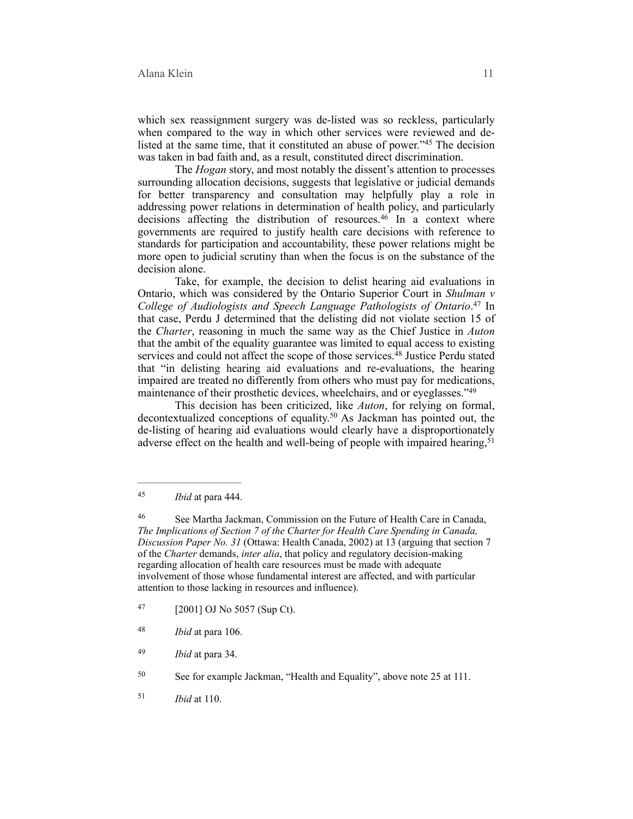which sex reassignment surgery was de-listed was so reckless, particularly when compared to the way in which other services were reviewed and delisted at the same time, that it constituted an abuse of power. $145$  The decision was taken in bad faith and, as a result, constituted direct discrimination.

The *Hogan* story, and most notably the dissent's attention to processes surrounding allocation decisions, suggests that legislative or judicial demands for better transparency and consultation may helpfully play a role in addressing power relations in determination of health policy, and particularly decisions affecting the distribution of resources.<sup>46</sup> In a context where governments are required to justify health care decisions with reference to standards for participation and accountability, these power relations might be more open to judicial scrutiny than when the focus is on the substance of the decision alone.

Take, for example, the decision to delist hearing aid evaluations in Ontario, which was considered by the Ontario Superior Court in *Shulman v College of Audiologists and Speech Language Pathologists of Ontario*.<sup>47</sup> In that case, Perdu J determined that the delisting did not violate section 15 of the *Charter*, reasoning in much the same way as the Chief Justice in *Auton* that the ambit of the equality guarantee was limited to equal access to existing services and could not affect the scope of those services.<sup>48</sup> Justice Perdu stated that "in delisting hearing aid evaluations and re-evaluations, the hearing impaired are treated no differently from others who must pay for medications, maintenance of their prosthetic devices, wheelchairs, and or eyeglasses."<sup>49</sup>

This decision has been criticized, like *Auton*, for relying on formal, decontextualized conceptions of equality.<sup>50</sup> As Jackman has pointed out, the de-listing of hearing aid evaluations would clearly have a disproportionately adverse effect on the health and well-being of people with impaired hearing,<sup>51</sup>

<sup>&</sup>lt;sup>45</sup> *Ibid* at para 444.

See Martha Jackman, Commission on the Future of Health Care in Canada, 46 *The Implications of Section 7 of the Charter for Health Care Spending in Canada, Discussion Paper No. 31* (Ottawa: Health Canada, 2002) at 13 (arguing that section 7 of the *Charter* demands, *inter alia*, that policy and regulatory decision-making regarding allocation of health care resources must be made with adequate involvement of those whose fundamental interest are affected, and with particular attention to those lacking in resources and influence).

 <sup>[2001]</sup> OJ No 5057 (Sup Ct). <sup>47</sup>

*Ibid* at para 106. <sup>48</sup>

*Ibid* at para 34. 49

<sup>50</sup> See for example Jackman, "Health and Equality", above note 25 at 111.

*Ibid* at 110. 51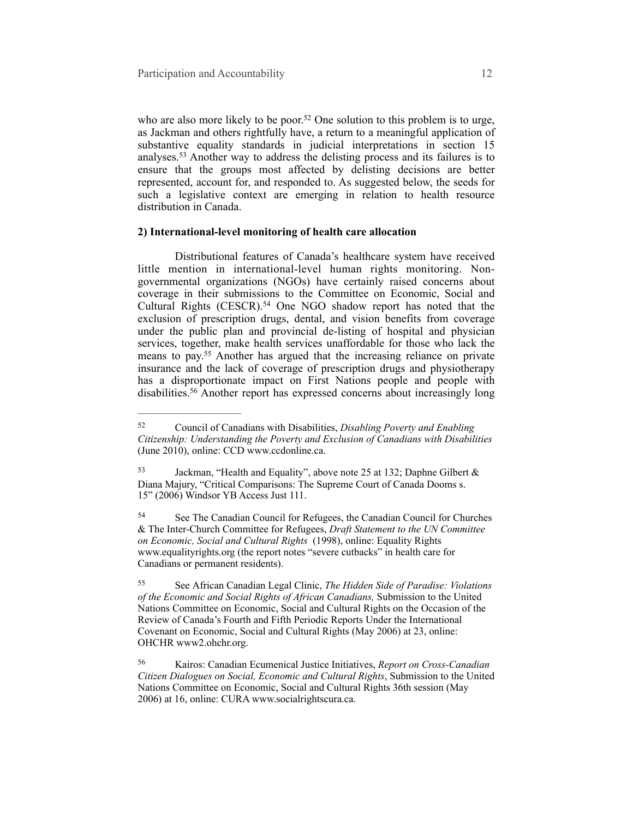who are also more likely to be poor.<sup>52</sup> One solution to this problem is to urge, as Jackman and others rightfully have, a return to a meaningful application of substantive equality standards in judicial interpretations in section 15 analyses.<sup>53</sup> Another way to address the delisting process and its failures is to ensure that the groups most affected by delisting decisions are better represented, account for, and responded to. As suggested below, the seeds for such a legislative context are emerging in relation to health resource distribution in Canada.

### **2) International-level monitoring of health care allocation**

Distributional features of Canada's healthcare system have received little mention in international-level human rights monitoring. Nongovernmental organizations (NGOs) have certainly raised concerns about coverage in their submissions to the Committee on Economic, Social and Cultural Rights (CESCR). $54$  One NGO shadow report has noted that the exclusion of prescription drugs, dental, and vision benefits from coverage under the public plan and provincial de-listing of hospital and physician services, together, make health services unaffordable for those who lack the means to pay.<sup>55</sup> Another has argued that the increasing reliance on private insurance and the lack of coverage of prescription drugs and physiotherapy has a disproportionate impact on First Nations people and people with disabilities.<sup>56</sup> Another report has expressed concerns about increasingly long

 See The Canadian Council for Refugees, the Canadian Council for Churches 54 & The Inter-Church Committee for Refugees, *Draft Statement to the UN Committee on Economic, Social and Cultural Rights* (1998), online: Equality Rights www.equalityrights.org (the report notes "severe cutbacks" in health care for Canadians or permanent residents).

 See African Canadian Legal Clinic, *The Hidden Side of Paradise: Violations* <sup>55</sup> *of the Economic and Social Rights of African Canadians,* Submission to the United Nations Committee on Economic, Social and Cultural Rights on the Occasion of the Review of Canada's Fourth and Fifth Periodic Reports Under the International Covenant on Economic, Social and Cultural Rights (May 2006) at 23, online: OHCHR www2.ohchr.org.

 Kairos: Canadian Ecumenical Justice Initiatives, *Report on Cross-Canadian* <sup>56</sup> *Citizen Dialogues on Social, Economic and Cultural Rights*, Submission to the United Nations Committee on Economic, Social and Cultural Rights 36th session (May 2006) at 16, online: CURA www.socialrightscura.ca.

Council of Canadians with Disabilities, *Disabling Poverty and Enabling* <sup>52</sup> *Citizenship: Understanding the Poverty and Exclusion of Canadians with Disabilities*  (June 2010), online: CCD www.ccdonline.ca.

<sup>53</sup> Jackman, "Health and Equality", above note 25 at 132; Daphne Gilbert & Diana Majury, "Critical Comparisons: The Supreme Court of Canada Dooms s. 15" (2006) Windsor YB Access Just 111.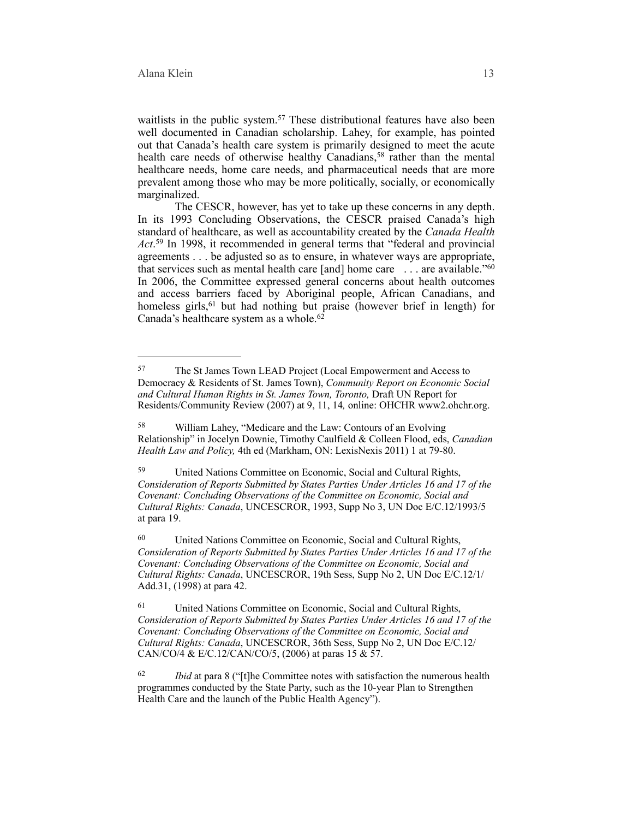waitlists in the public system.<sup>57</sup> These distributional features have also been well documented in Canadian scholarship. Lahey, for example, has pointed out that Canada's health care system is primarily designed to meet the acute health care needs of otherwise healthy Canadians,<sup>58</sup> rather than the mental healthcare needs, home care needs, and pharmaceutical needs that are more prevalent among those who may be more politically, socially, or economically marginalized.

The CESCR, however, has yet to take up these concerns in any depth. In its 1993 Concluding Observations, the CESCR praised Canada's high standard of healthcare, as well as accountability created by the *Canada Health Act*.<sup>59</sup> In 1998, it recommended in general terms that "federal and provincial agreements . . . be adjusted so as to ensure, in whatever ways are appropriate, that services such as mental health care [and] home care . . . are available."60 In 2006, the Committee expressed general concerns about health outcomes and access barriers faced by Aboriginal people, African Canadians, and homeless girls,<sup>61</sup> but had nothing but praise (however brief in length) for Canada's healthcare system as a whole.<sup>62</sup>

 William Lahey, "Medicare and the Law: Contours of an Evolving 58 Relationship" in Jocelyn Downie, Timothy Caulfield & Colleen Flood, eds, *Canadian Health Law and Policy,* 4th ed (Markham, ON: LexisNexis 2011) 1 at 79-80.

 United Nations Committee on Economic, Social and Cultural Rights, 59 *Consideration of Reports Submitted by States Parties Under Articles 16 and 17 of the Covenant: Concluding Observations of the Committee on Economic, Social and Cultural Rights: Canada*, UNCESCROR, 1993, Supp No 3, UN Doc E/C.12/1993/5 at para 19.

 United Nations Committee on Economic, Social and Cultural Rights, 60 *Consideration of Reports Submitted by States Parties Under Articles 16 and 17 of the Covenant: Concluding Observations of the Committee on Economic, Social and Cultural Rights: Canada*, UNCESCROR, 19th Sess, Supp No 2, UN Doc E/C.12/1/ Add.31, (1998) at para 42.

<sup>61</sup> United Nations Committee on Economic, Social and Cultural Rights, *Consideration of Reports Submitted by States Parties Under Articles 16 and 17 of the Covenant: Concluding Observations of the Committee on Economic, Social and Cultural Rights: Canada*, UNCESCROR, 36th Sess, Supp No 2, UN Doc E/C.12/ CAN/CO/4 & E/C.12/CAN/CO/5, (2006) at paras 15 & 57.

<sup>62</sup> *Ibid* at para 8 ("[t]he Committee notes with satisfaction the numerous health programmes conducted by the State Party, such as the 10-year Plan to Strengthen Health Care and the launch of the Public Health Agency").

<sup>&</sup>lt;sup>57</sup> The St James Town LEAD Project (Local Empowerment and Access to Democracy & Residents of St. James Town), *Community Report on Economic Social and Cultural Human Rights in St. James Town, Toronto,* Draft UN Report for Residents/Community Review (2007) at 9, 11, 14*,* online: OHCHR www2.ohchr.org.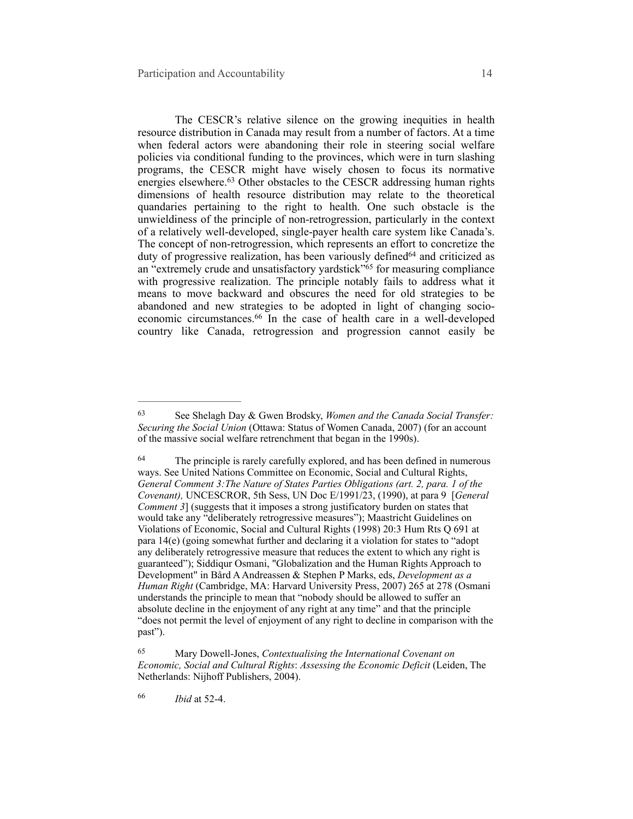The CESCR's relative silence on the growing inequities in health resource distribution in Canada may result from a number of factors. At a time when federal actors were abandoning their role in steering social welfare policies via conditional funding to the provinces, which were in turn slashing programs, the CESCR might have wisely chosen to focus its normative energies elsewhere.<sup>63</sup> Other obstacles to the CESCR addressing human rights dimensions of health resource distribution may relate to the theoretical quandaries pertaining to the right to health. One such obstacle is the unwieldiness of the principle of non-retrogression, particularly in the context of a relatively well-developed, single-payer health care system like Canada's. The concept of non-retrogression, which represents an effort to concretize the duty of progressive realization, has been variously defined $64$  and criticized as an "extremely crude and unsatisfactory yardstick"<sup>65</sup> for measuring compliance with progressive realization. The principle notably fails to address what it means to move backward and obscures the need for old strategies to be abandoned and new strategies to be adopted in light of changing socioeconomic circumstances.  $66$  In the case of health care in a well-developed country like Canada, retrogression and progression cannot easily be

*Ibid* at 52-4. 66

See Shelagh Day & Gwen Brodsky, *Women and the Canada Social Transfer:* <sup>63</sup> *Securing the Social Union* (Ottawa: Status of Women Canada, 2007) (for an account of the massive social welfare retrenchment that began in the 1990s).

<sup>&</sup>lt;sup>64</sup> The principle is rarely carefully explored, and has been defined in numerous ways. See United Nations Committee on Economic, Social and Cultural Rights, *General Comment 3:The Nature of States Parties Obligations (art. 2, para. 1 of the Covenant),* UNCESCROR, 5th Sess, UN Doc E/1991/23, (1990), at para 9 [*General Comment 3*] (suggests that it imposes a strong justificatory burden on states that would take any "deliberately retrogressive measures"); Maastricht Guidelines on Violations of Economic, Social and Cultural Rights (1998) 20:3 Hum Rts Q 691 at para 14(e) (going somewhat further and declaring it a violation for states to "adopt any deliberately retrogressive measure that reduces the extent to which any right is guaranteed"); Siddiqur Osmani, "Globalization and the Human Rights Approach to Development" in Bård A Andreassen & Stephen P Marks, eds, *Development as a Human Right* (Cambridge, MA: Harvard University Press, 2007) 265 at 278 (Osmani understands the principle to mean that "nobody should be allowed to suffer an absolute decline in the enjoyment of any right at any time" and that the principle "does not permit the level of enjoyment of any right to decline in comparison with the past").

Mary Dowell-Jones, *Contextualising the International Covenant on* <sup>65</sup> *Economic, Social and Cultural Rights*: *Assessing the Economic Deficit* (Leiden, The Netherlands: Nijhoff Publishers, 2004).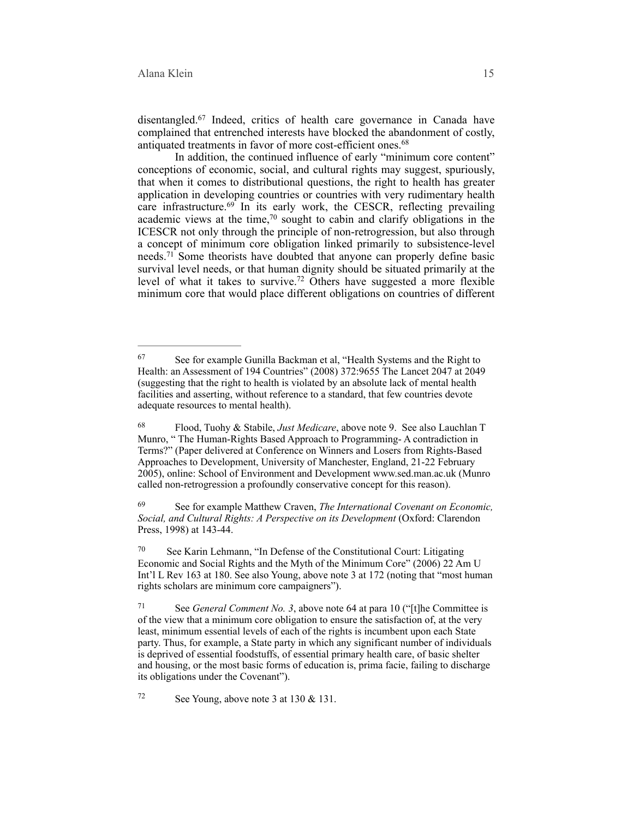disentangled. $67$  Indeed, critics of health care governance in Canada have complained that entrenched interests have blocked the abandonment of costly, antiquated treatments in favor of more cost-efficient ones. 68

In addition, the continued influence of early "minimum core content" conceptions of economic, social, and cultural rights may suggest, spuriously, that when it comes to distributional questions, the right to health has greater application in developing countries or countries with very rudimentary health care infrastructure.<sup> $69$ </sup> In its early work, the CESCR, reflecting prevailing academic views at the time, $70$  sought to cabin and clarify obligations in the ICESCR not only through the principle of non-retrogression, but also through a concept of minimum core obligation linked primarily to subsistence-level needs.<sup>71</sup> Some theorists have doubted that anyone can properly define basic survival level needs, or that human dignity should be situated primarily at the level of what it takes to survive.<sup>72</sup> Others have suggested a more flexible minimum core that would place different obligations on countries of different

 $\frac{72}{2}$  See Young, above note 3 at 130 & 131.

<sup>&</sup>lt;sup>67</sup> See for example Gunilla Backman et al, "Health Systems and the Right to Health: an Assessment of 194 Countries" (2008) 372:9655 The Lancet 2047 at 2049 (suggesting that the right to health is violated by an absolute lack of mental health facilities and asserting, without reference to a standard, that few countries devote adequate resources to mental health).

Flood, Tuohy & Stabile, *Just Medicare*, above note 9. See also Lauchlan T 68 Munro, " The Human-Rights Based Approach to Programming- A contradiction in Terms?" (Paper delivered at Conference on Winners and Losers from Rights-Based Approaches to Development, University of Manchester, England, 21-22 February 2005), online: School of Environment and Development www.sed.man.ac.uk (Munro called non-retrogression a profoundly conservative concept for this reason).

See for example Matthew Craven, *The International Covenant on Economic,* <sup>69</sup> *Social, and Cultural Rights: A Perspective on its Development* (Oxford: Clarendon Press, 1998) at 143-44.

<sup>&</sup>lt;sup>70</sup> See Karin Lehmann, "In Defense of the Constitutional Court: Litigating Economic and Social Rights and the Myth of the Minimum Core" (2006) 22 Am U Int'l L Rev 163 at 180. See also Young, above note 3 at 172 (noting that "most human rights scholars are minimum core campaigners").

See *General Comment No. 3*, above note 64 at para 10 ("[t]he Committee is 71 of the view that a minimum core obligation to ensure the satisfaction of, at the very least, minimum essential levels of each of the rights is incumbent upon each State party. Thus, for example, a State party in which any significant number of individuals is deprived of essential foodstuffs, of essential primary health care, of basic shelter and housing, or the most basic forms of education is, prima facie, failing to discharge its obligations under the Covenant").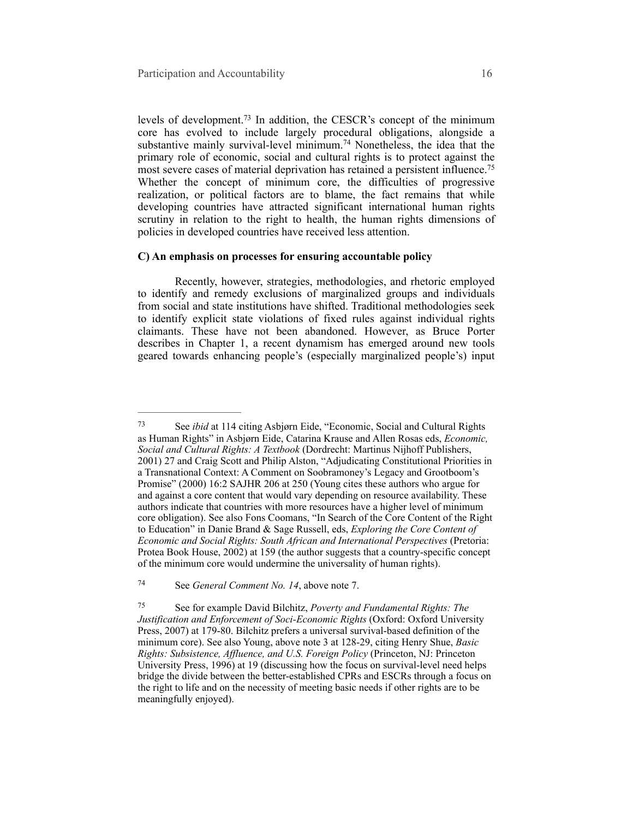levels of development.<sup>73</sup> In addition, the CESCR's concept of the minimum core has evolved to include largely procedural obligations, alongside a substantive mainly survival-level minimum.<sup>74</sup> Nonetheless, the idea that the primary role of economic, social and cultural rights is to protect against the most severe cases of material deprivation has retained a persistent influence.<sup>75</sup> Whether the concept of minimum core, the difficulties of progressive realization, or political factors are to blame, the fact remains that while developing countries have attracted significant international human rights scrutiny in relation to the right to health, the human rights dimensions of policies in developed countries have received less attention.

#### **C) An emphasis on processes for ensuring accountable policy**

Recently, however, strategies, methodologies, and rhetoric employed to identify and remedy exclusions of marginalized groups and individuals from social and state institutions have shifted. Traditional methodologies seek to identify explicit state violations of fixed rules against individual rights claimants. These have not been abandoned. However, as Bruce Porter describes in Chapter 1, a recent dynamism has emerged around new tools geared towards enhancing people's (especially marginalized people's) input

See *ibid* at 114 citing Asbjørn Eide, "Economic, Social and Cultural Rights 73 as Human Rights" in Asbjørn Eide, Catarina Krause and Allen Rosas eds, *Economic, Social and Cultural Rights: A Textbook* (Dordrecht: Martinus Nijhoff Publishers, 2001) 27 and Craig Scott and Philip Alston, "Adjudicating Constitutional Priorities in a Transnational Context: A Comment on Soobramoney's Legacy and Grootboom's Promise" (2000) 16:2 SAJHR 206 at 250 (Young cites these authors who argue for and against a core content that would vary depending on resource availability. These authors indicate that countries with more resources have a higher level of minimum core obligation). See also Fons Coomans, "In Search of the Core Content of the Right to Education" in Danie Brand & Sage Russell, eds, *Exploring the Core Content of Economic and Social Rights: South African and International Perspectives* (Pretoria: Protea Book House, 2002) at 159 (the author suggests that a country-specific concept of the minimum core would undermine the universality of human rights).

<sup>&</sup>lt;sup>74</sup> See *General Comment No. 14*, above note 7.

See for example David Bilchitz, *Poverty and Fundamental Rights: The* <sup>75</sup> *Justification and Enforcement of Soci-Economic Rights* (Oxford: Oxford University Press, 2007) at 179-80. Bilchitz prefers a universal survival-based definition of the minimum core). See also Young, above note 3 at 128-29, citing Henry Shue, *Basic Rights: Subsistence, Affluence, and U.S. Foreign Policy* (Princeton, NJ: Princeton University Press, 1996) at 19 (discussing how the focus on survival-level need helps bridge the divide between the better-established CPRs and ESCRs through a focus on the right to life and on the necessity of meeting basic needs if other rights are to be meaningfully enjoyed).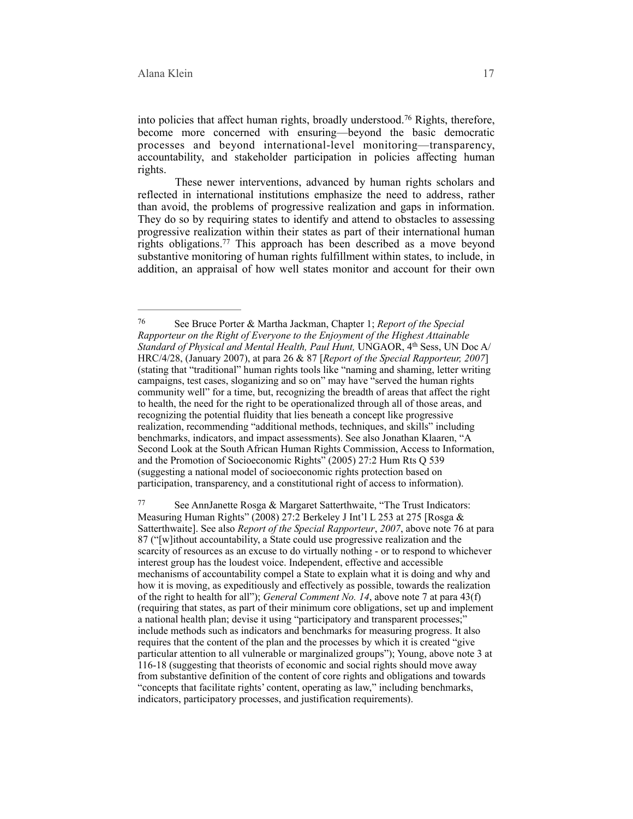into policies that affect human rights, broadly understood.<sup>76</sup> Rights, therefore, become more concerned with ensuring—beyond the basic democratic processes and beyond international-level monitoring—transparency, accountability, and stakeholder participation in policies affecting human rights.

These newer interventions, advanced by human rights scholars and reflected in international institutions emphasize the need to address, rather than avoid, the problems of progressive realization and gaps in information. They do so by requiring states to identify and attend to obstacles to assessing progressive realization within their states as part of their international human rights obligations.<sup>77</sup> This approach has been described as a move beyond substantive monitoring of human rights fulfillment within states, to include, in addition, an appraisal of how well states monitor and account for their own

See Bruce Porter & Martha Jackman, Chapter 1; *Report of the Special* <sup>76</sup> *Rapporteur on the Right of Everyone to the Enjoyment of the Highest Attainable*  Standard of Physical and Mental Health, Paul Hunt, UNGAOR, 4<sup>th</sup> Sess, UN Doc A/ HRC/4/28, (January 2007), at para 26 & 87 [*Report of the Special Rapporteur, 2007*] (stating that "traditional" human rights tools like "naming and shaming, letter writing campaigns, test cases, sloganizing and so on" may have "served the human rights community well" for a time, but, recognizing the breadth of areas that affect the right to health, the need for the right to be operationalized through all of those areas, and recognizing the potential fluidity that lies beneath a concept like progressive realization, recommending "additional methods, techniques, and skills" including benchmarks, indicators, and impact assessments). See also Jonathan Klaaren, "A Second Look at the South African Human Rights Commission, Access to Information, and the Promotion of Socioeconomic Rights" (2005) 27:2 Hum Rts Q 539 (suggesting a national model of socioeconomic rights protection based on participation, transparency, and a constitutional right of access to information).

See AnnJanette Rosga & Margaret Satterthwaite, "The Trust Indicators: 77 Measuring Human Rights" (2008) 27:2 Berkeley J Int'l L 253 at 275 [Rosga & Satterthwaite]. See also *Report of the Special Rapporteur*, *2007*, above note 76 at para 87 ("[w]ithout accountability, a State could use progressive realization and the scarcity of resources as an excuse to do virtually nothing - or to respond to whichever interest group has the loudest voice. Independent, effective and accessible mechanisms of accountability compel a State to explain what it is doing and why and how it is moving, as expeditiously and effectively as possible, towards the realization of the right to health for all"); *General Comment No. 14*, above note 7 at para 43(f) (requiring that states, as part of their minimum core obligations, set up and implement a national health plan; devise it using "participatory and transparent processes;" include methods such as indicators and benchmarks for measuring progress. It also requires that the content of the plan and the processes by which it is created "give particular attention to all vulnerable or marginalized groups"); Young, above note 3 at 116-18 (suggesting that theorists of economic and social rights should move away from substantive definition of the content of core rights and obligations and towards "concepts that facilitate rights' content, operating as law," including benchmarks, indicators, participatory processes, and justification requirements).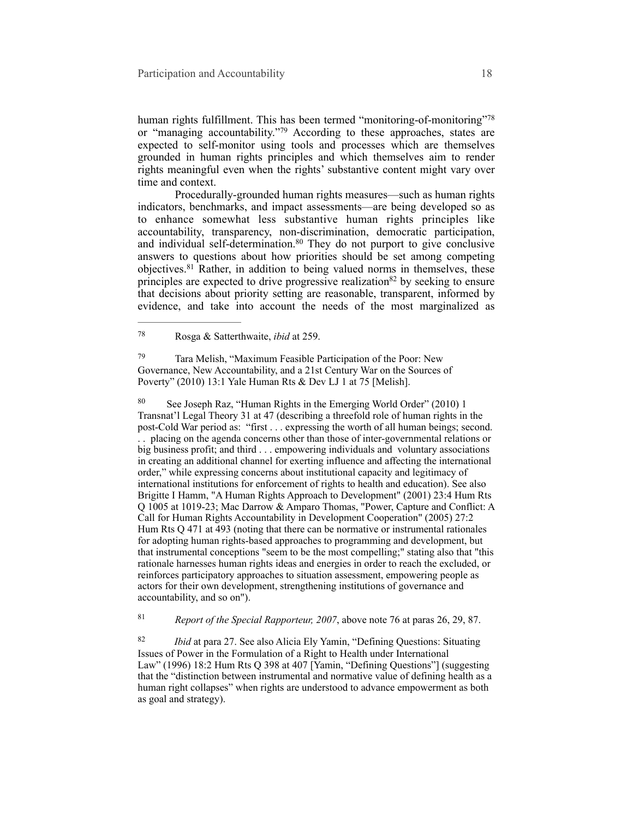human rights fulfillment. This has been termed "monitoring-of-monitoring"78 or "managing accountability."<sup>79</sup> According to these approaches, states are expected to self-monitor using tools and processes which are themselves grounded in human rights principles and which themselves aim to render rights meaningful even when the rights' substantive content might vary over time and context.

Procedurally-grounded human rights measures—such as human rights indicators, benchmarks, and impact assessments—are being developed so as to enhance somewhat less substantive human rights principles like accountability, transparency, non-discrimination, democratic participation, and individual self-determination. $80$  They do not purport to give conclusive answers to questions about how priorities should be set among competing objectives.<sup>81</sup> Rather, in addition to being valued norms in themselves, these principles are expected to drive progressive realization<sup>82</sup> by seeking to ensure that decisions about priority setting are reasonable, transparent, informed by evidence, and take into account the needs of the most marginalized as

 Tara Melish, "Maximum Feasible Participation of the Poor: New 79 Governance, New Accountability, and a 21st Century War on the Sources of Poverty" (2010) 13:1 Yale Human Rts & Dev LJ 1 at 75 [Melish].

<sup>80</sup> See Joseph Raz, "Human Rights in the Emerging World Order" (2010) 1 Transnat'l Legal Theory 31 at 47 (describing a threefold role of human rights in the post-Cold War period as: "first . . . expressing the worth of all human beings; second. . . placing on the agenda concerns other than those of inter-governmental relations or big business profit; and third . . . empowering individuals and voluntary associations in creating an additional channel for exerting influence and affecting the international order," while expressing concerns about institutional capacity and legitimacy of international institutions for enforcement of rights to health and education). See also Brigitte I Hamm, "A Human Rights Approach to Development" (2001) 23:4 Hum Rts Q 1005 at 1019-23; Mac Darrow & Amparo Thomas, "Power, Capture and Conflict: A Call for Human Rights Accountability in Development Cooperation" (2005) 27:2 Hum Rts Q 471 at 493 (noting that there can be normative or instrumental rationales for adopting human rights-based approaches to programming and development, but that instrumental conceptions "seem to be the most compelling;" stating also that "this rationale harnesses human rights ideas and energies in order to reach the excluded, or reinforces participatory approaches to situation assessment, empowering people as actors for their own development, strengthening institutions of governance and accountability, and so on").

<sup>82</sup> *Ibid* at para 27. See also Alicia Ely Yamin, "Defining Questions: Situating Issues of Power in the Formulation of a Right to Health under International Law" (1996) 18:2 Hum Rts Q 398 at 407 [Yamin, "Defining Questions"] (suggesting that the "distinction between instrumental and normative value of defining health as a human right collapses" when rights are understood to advance empowerment as both as goal and strategy).

Rosga & Satterthwaite, *ibid* at 259. 78

<sup>&</sup>lt;sup>81</sup> *Report of the Special Rapporteur, 2007*, above note 76 at paras 26, 29, 87.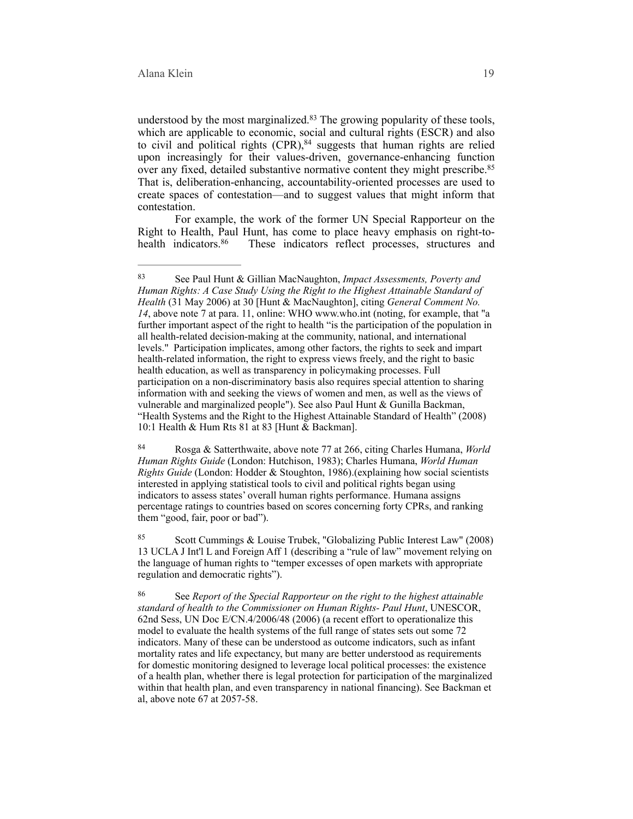understood by the most marginalized.<sup>83</sup> The growing popularity of these tools, which are applicable to economic, social and cultural rights (ESCR) and also to civil and political rights  $(CPR)$ ,  $84$  suggests that human rights are relied upon increasingly for their values-driven, governance-enhancing function over any fixed, detailed substantive normative content they might prescribe.<sup>85</sup> That is, deliberation-enhancing, accountability-oriented processes are used to create spaces of contestation—and to suggest values that might inform that contestation.

For example, the work of the former UN Special Rapporteur on the Right to Health, Paul Hunt, has come to place heavy emphasis on right-tohealth indicators.<sup>86</sup> These indicators reflect processes, structures and

 Rosga & Satterthwaite, above note 77 at 266, citing Charles Humana, *World* <sup>84</sup> *Human Rights Guide* (London: Hutchison, 1983); Charles Humana, *World Human Rights Guide* (London: Hodder & Stoughton, 1986).(explaining how social scientists interested in applying statistical tools to civil and political rights began using indicators to assess states' overall human rights performance. Humana assigns percentage ratings to countries based on scores concerning forty CPRs, and ranking them "good, fair, poor or bad").

85 Scott Cummings & Louise Trubek, "Globalizing Public Interest Law" (2008) 13 UCLA J Int'l L and Foreign Aff 1 (describing a "rule of law" movement relying on the language of human rights to "temper excesses of open markets with appropriate regulation and democratic rights").

 See *Report of the Special Rapporteur on the right to the highest attainable* <sup>86</sup> *standard of health to the Commissioner on Human Rights- Paul Hunt*, UNESCOR, 62nd Sess, UN Doc E/CN.4/2006/48 (2006) (a recent effort to operationalize this model to evaluate the health systems of the full range of states sets out some 72 indicators. Many of these can be understood as outcome indicators, such as infant mortality rates and life expectancy, but many are better understood as requirements for domestic monitoring designed to leverage local political processes: the existence of a health plan, whether there is legal protection for participation of the marginalized within that health plan, and even transparency in national financing). See Backman et al, above note 67 at 2057-58.

See Paul Hunt & Gillian MacNaughton, *Impact Assessments, Poverty and* <sup>83</sup> *Human Rights: A Case Study Using the Right to the Highest Attainable Standard of Health* (31 May 2006) at 30 [Hunt & MacNaughton], citing *General Comment No. 14*, above note 7 at para. 11, online: WHO www.who.int (noting, for example, that "a further important aspect of the right to health "is the participation of the population in all health-related decision-making at the community, national, and international levels." Participation implicates, among other factors, the rights to seek and impart health-related information, the right to express views freely, and the right to basic health education, as well as transparency in policymaking processes. Full participation on a non-discriminatory basis also requires special attention to sharing information with and seeking the views of women and men, as well as the views of vulnerable and marginalized people"). See also Paul Hunt & Gunilla Backman, "Health Systems and the Right to the Highest Attainable Standard of Health" (2008) 10:1 Health & Hum Rts 81 at 83 [Hunt & Backman].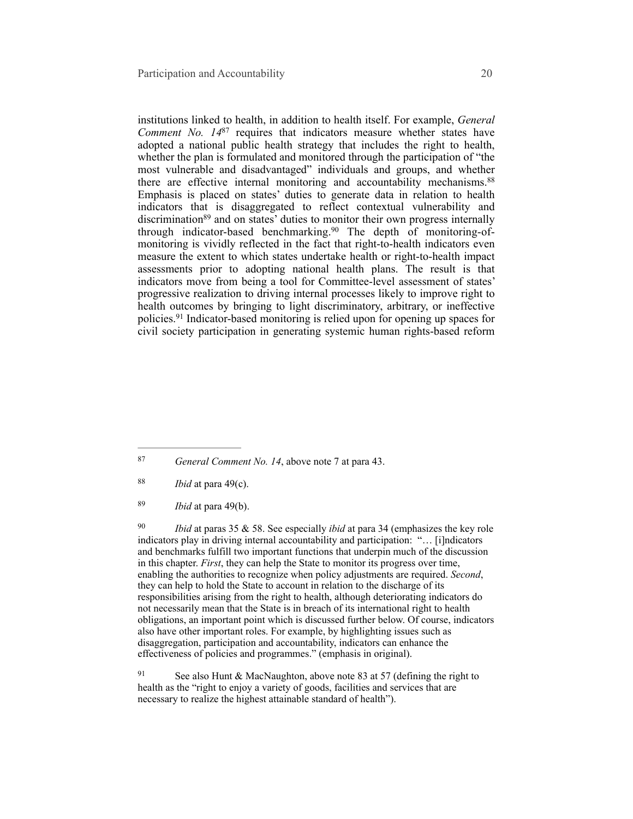institutions linked to health, in addition to health itself. For example, *General Comment No. 14<sup>87</sup>* requires that indicators measure whether states have adopted a national public health strategy that includes the right to health, whether the plan is formulated and monitored through the participation of "the most vulnerable and disadvantaged" individuals and groups, and whether there are effective internal monitoring and accountability mechanisms.<sup>88</sup> Emphasis is placed on states' duties to generate data in relation to health indicators that is disaggregated to reflect contextual vulnerability and discrimination<sup>89</sup> and on states' duties to monitor their own progress internally through indicator-based benchmarking. $90$  The depth of monitoring-ofmonitoring is vividly reflected in the fact that right-to-health indicators even measure the extent to which states undertake health or right-to-health impact assessments prior to adopting national health plans. The result is that indicators move from being a tool for Committee-level assessment of states' progressive realization to driving internal processes likely to improve right to health outcomes by bringing to light discriminatory, arbitrary, or ineffective policies.<sup>91</sup> Indicator-based monitoring is relied upon for opening up spaces for civil society participation in generating systemic human rights-based reform

*General Comment No. 14*, above note 7 at para 43. <sup>87</sup>

<sup>88</sup> *Ibid* at para  $49(c)$ .

<sup>89</sup> *Ibid* at para 49(b).

<sup>90</sup> *Ibid* at paras 35 & 58. See especially *ibid* at para 34 (emphasizes the key role indicators play in driving internal accountability and participation: "… [i]ndicators and benchmarks fulfill two important functions that underpin much of the discussion in this chapter. *First*, they can help the State to monitor its progress over time, enabling the authorities to recognize when policy adjustments are required. *Second*, they can help to hold the State to account in relation to the discharge of its responsibilities arising from the right to health, although deteriorating indicators do not necessarily mean that the State is in breach of its international right to health obligations, an important point which is discussed further below. Of course, indicators also have other important roles. For example, by highlighting issues such as disaggregation, participation and accountability, indicators can enhance the effectiveness of policies and programmes." (emphasis in original).

<sup>91</sup> See also Hunt & MacNaughton, above note 83 at 57 (defining the right to health as the "right to enjoy a variety of goods, facilities and services that are necessary to realize the highest attainable standard of health").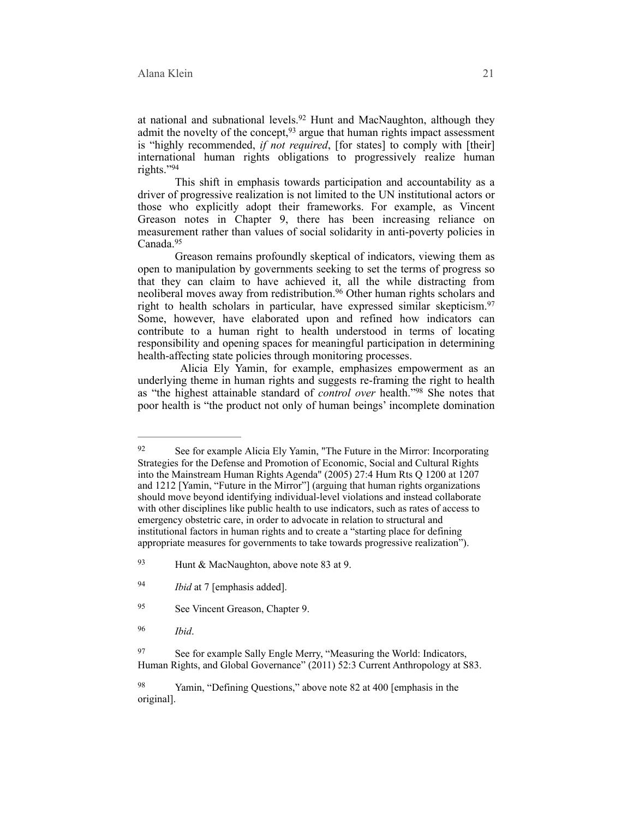at national and subnational levels.<sup>92</sup> Hunt and MacNaughton, although they admit the novelty of the concept,  $93$  argue that human rights impact assessment is "highly recommended, *if not required*, [for states] to comply with [their] international human rights obligations to progressively realize human rights."94

This shift in emphasis towards participation and accountability as a driver of progressive realization is not limited to the UN institutional actors or those who explicitly adopt their frameworks. For example, as Vincent Greason notes in Chapter 9, there has been increasing reliance on measurement rather than values of social solidarity in anti-poverty policies in Canada.<sup>95</sup>

Greason remains profoundly skeptical of indicators, viewing them as open to manipulation by governments seeking to set the terms of progress so that they can claim to have achieved it, all the while distracting from neoliberal moves away from redistribution.<sup>96</sup> Other human rights scholars and right to health scholars in particular, have expressed similar skepticism.<sup>97</sup> Some, however, have elaborated upon and refined how indicators can contribute to a human right to health understood in terms of locating responsibility and opening spaces for meaningful participation in determining health-affecting state policies through monitoring processes.

 Alicia Ely Yamin, for example, emphasizes empowerment as an underlying theme in human rights and suggests re-framing the right to health as "the highest attainable standard of *control over* health."<sup>98</sup> She notes that poor health is "the product not only of human beings' incomplete domination

<sup>98</sup> Yamin, "Defining Questions," above note 82 at 400 [emphasis in the original].

 $92$  See for example Alicia Ely Yamin, "The Future in the Mirror: Incorporating Strategies for the Defense and Promotion of Economic, Social and Cultural Rights into the Mainstream Human Rights Agenda" (2005) 27:4 Hum Rts Q 1200 at 1207 and 1212 [Yamin, "Future in the Mirror"] (arguing that human rights organizations should move beyond identifying individual-level violations and instead collaborate with other disciplines like public health to use indicators, such as rates of access to emergency obstetric care, in order to advocate in relation to structural and institutional factors in human rights and to create a "starting place for defining appropriate measures for governments to take towards progressive realization").

<sup>&</sup>lt;sup>93</sup> Hunt & MacNaughton, above note 83 at 9.

*Ibid* at 7 [emphasis added]. <sup>94</sup>

<sup>95</sup> See Vincent Greason, Chapter 9.

*Ibid*. <sup>96</sup>

<sup>&</sup>lt;sup>97</sup> See for example Sally Engle Merry, "Measuring the World: Indicators, Human Rights, and Global Governance" (2011) 52:3 Current Anthropology at S83.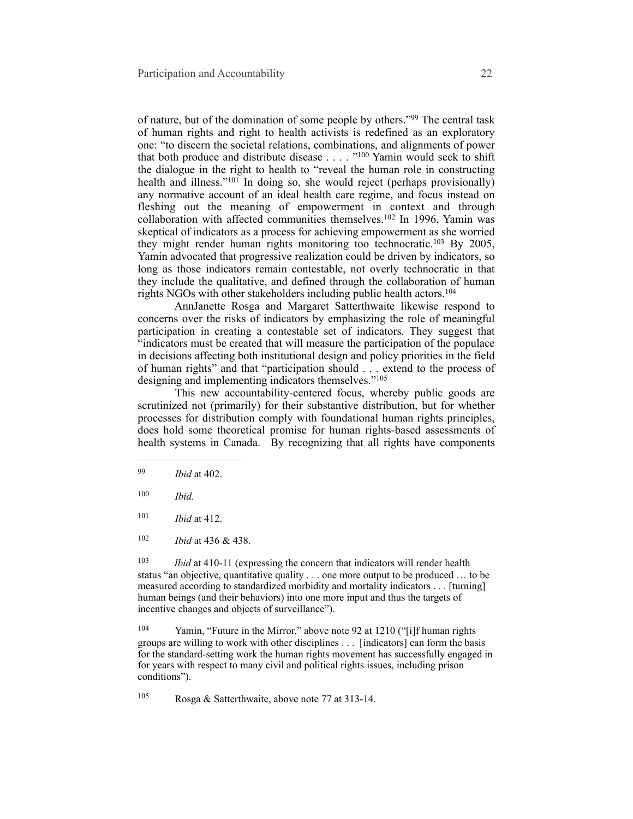of nature, but of the domination of some people by others."<sup>99</sup> The central task of human rights and right to health activists is redefined as an exploratory one: "to discern the societal relations, combinations, and alignments of power that both produce and distribute disease . . . . "<sup>100</sup> Yamin would seek to shift the dialogue in the right to health to "reveal the human role in constructing health and illness." $101$  In doing so, she would reject (perhaps provisionally) any normative account of an ideal health care regime, and focus instead on fleshing out the meaning of empowerment in context and through collaboration with affected communities themselves.  $102$  In 1996, Yamin was skeptical of indicators as a process for achieving empowerment as she worried they might render human rights monitoring too technocratic.<sup>103</sup> By 2005, Yamin advocated that progressive realization could be driven by indicators, so long as those indicators remain contestable, not overly technocratic in that they include the qualitative, and defined through the collaboration of human rights NGOs with other stakeholders including public health actors.104

 AnnJanette Rosga and Margaret Satterthwaite likewise respond to concerns over the risks of indicators by emphasizing the role of meaningful participation in creating a contestable set of indicators. They suggest that "indicators must be created that will measure the participation of the populace in decisions affecting both institutional design and policy priorities in the field of human rights" and that "participation should . . . extend to the process of designing and implementing indicators themselves."<sup>105</sup>

This new accountability-centered focus, whereby public goods are scrutinized not (primarily) for their substantive distribution, but for whether processes for distribution comply with foundational human rights principles, does hold some theoretical promise for human rights-based assessments of health systems in Canada. By recognizing that all rights have components

- 101 *Ibid* at 412.
- 102 *Ibid* at 436 & 438.

*Ibid* at 410-11 (expressing the concern that indicators will render health status "an objective, quantitative quality . . . one more output to be produced … to be measured according to standardized morbidity and mortality indicators . . . [turning] human beings (and their behaviors) into one more input and thus the targets of incentive changes and objects of surveillance").

<sup>104</sup> Yamin, "Future in the Mirror," above note 92 at 1210 ("[i]f human rights groups are willing to work with other disciplines . . . [indicators] can form the basis for the standard-setting work the human rights movement has successfully engaged in for years with respect to many civil and political rights issues, including prison conditions").

 $Rossa \& Satterthwaite, above note 77 at 313-14.$ 

*Ibid* at 402. <sup>99</sup>

*Ibid.* <sup>100</sup>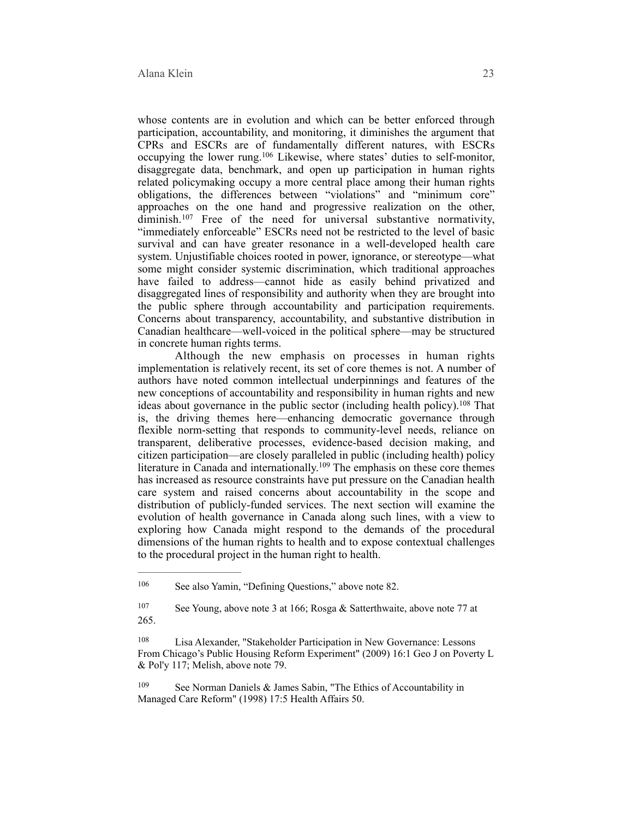whose contents are in evolution and which can be better enforced through participation, accountability, and monitoring, it diminishes the argument that CPRs and ESCRs are of fundamentally different natures, with ESCRs occupying the lower rung.<sup>106</sup> Likewise, where states' duties to self-monitor, disaggregate data, benchmark, and open up participation in human rights related policymaking occupy a more central place among their human rights obligations, the differences between "violations" and "minimum core" approaches on the one hand and progressive realization on the other, diminish. $107$  Free of the need for universal substantive normativity, "immediately enforceable" ESCRs need not be restricted to the level of basic survival and can have greater resonance in a well-developed health care system. Unjustifiable choices rooted in power, ignorance, or stereotype—what some might consider systemic discrimination, which traditional approaches have failed to address—cannot hide as easily behind privatized and disaggregated lines of responsibility and authority when they are brought into the public sphere through accountability and participation requirements. Concerns about transparency, accountability, and substantive distribution in Canadian healthcare—well-voiced in the political sphere—may be structured in concrete human rights terms.

Although the new emphasis on processes in human rights implementation is relatively recent, its set of core themes is not. A number of authors have noted common intellectual underpinnings and features of the new conceptions of accountability and responsibility in human rights and new ideas about governance in the public sector (including health policy).  $108$  That is, the driving themes here—enhancing democratic governance through flexible norm-setting that responds to community-level needs, reliance on transparent, deliberative processes, evidence-based decision making, and citizen participation—are closely paralleled in public (including health) policy literature in Canada and internationally.<sup>109</sup> The emphasis on these core themes has increased as resource constraints have put pressure on the Canadian health care system and raised concerns about accountability in the scope and distribution of publicly-funded services. The next section will examine the evolution of health governance in Canada along such lines, with a view to exploring how Canada might respond to the demands of the procedural dimensions of the human rights to health and to expose contextual challenges to the procedural project in the human right to health.

<sup>&</sup>lt;sup>106</sup> See also Yamin, "Defining Questions," above note 82.

<sup>&</sup>lt;sup>107</sup> See Young, above note 3 at 166; Rosga & Satterthwaite, above note 77 at 265.

<sup>&</sup>lt;sup>108</sup> Lisa Alexander, "Stakeholder Participation in New Governance: Lessons From Chicago's Public Housing Reform Experiment" (2009) 16:1 Geo J on Poverty L & Pol'y 117; Melish, above note 79.

<sup>109</sup> See Norman Daniels & James Sabin, "The Ethics of Accountability in Managed Care Reform" (1998) 17:5 Health Affairs 50.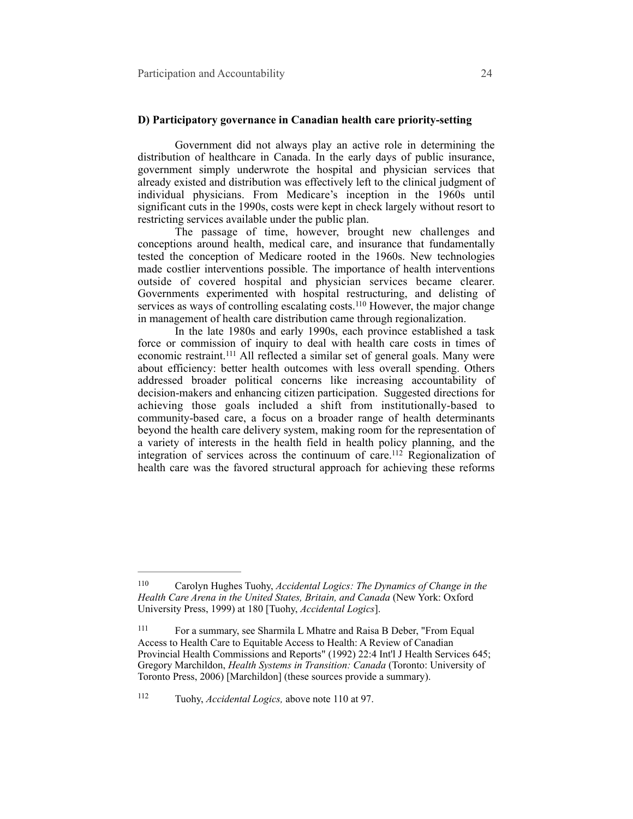#### **D) Participatory governance in Canadian health care priority-setting**

Government did not always play an active role in determining the distribution of healthcare in Canada. In the early days of public insurance, government simply underwrote the hospital and physician services that already existed and distribution was effectively left to the clinical judgment of individual physicians. From Medicare's inception in the 1960s until significant cuts in the 1990s, costs were kept in check largely without resort to restricting services available under the public plan.

The passage of time, however, brought new challenges and conceptions around health, medical care, and insurance that fundamentally tested the conception of Medicare rooted in the 1960s. New technologies made costlier interventions possible. The importance of health interventions outside of covered hospital and physician services became clearer. Governments experimented with hospital restructuring, and delisting of services as ways of controlling escalating costs.<sup>110</sup> However, the major change in management of health care distribution came through regionalization.

In the late 1980s and early 1990s, each province established a task force or commission of inquiry to deal with health care costs in times of economic restraint.<sup>111</sup> All reflected a similar set of general goals. Many were about efficiency: better health outcomes with less overall spending. Others addressed broader political concerns like increasing accountability of decision-makers and enhancing citizen participation. Suggested directions for achieving those goals included a shift from institutionally-based to community-based care, a focus on a broader range of health determinants beyond the health care delivery system, making room for the representation of a variety of interests in the health field in health policy planning, and the integration of services across the continuum of care.<sup>112</sup> Regionalization of health care was the favored structural approach for achieving these reforms

<sup>&</sup>lt;sup>110</sup> Carolyn Hughes Tuohy, *Accidental Logics: The Dynamics of Change in the Health Care Arena in the United States, Britain, and Canada* (New York: Oxford University Press, 1999) at 180 [Tuohy, *Accidental Logics*].

For a summary, see Sharmila L Mhatre and Raisa B Deber, "From Equal 111 Access to Health Care to Equitable Access to Health: A Review of Canadian Provincial Health Commissions and Reports" (1992) 22:4 Int'l J Health Services 645; Gregory Marchildon, *Health Systems in Transition: Canada* (Toronto: University of Toronto Press, 2006) [Marchildon] (these sources provide a summary).

Tuohy, *Accidental Logics,* above note 110 at 97. 112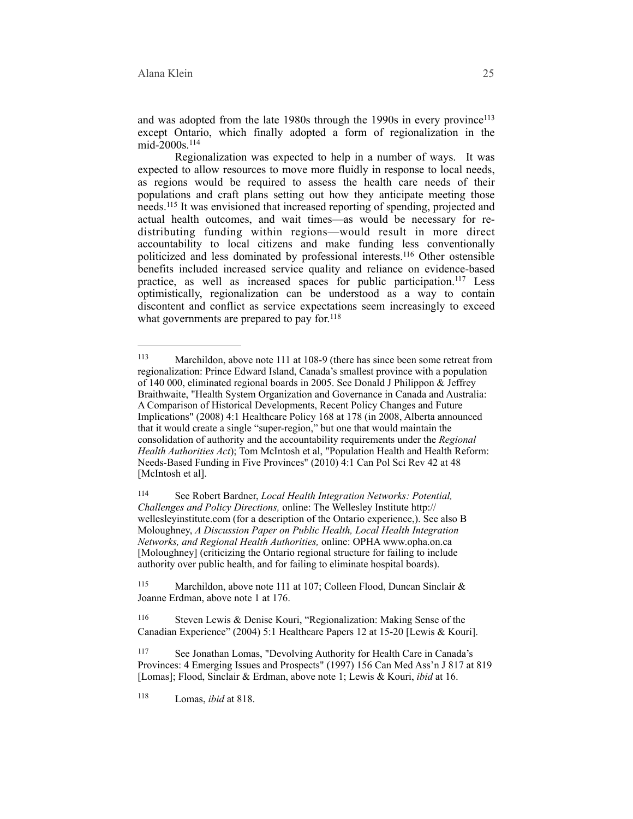and was adopted from the late 1980s through the 1990s in every province<sup>113</sup> except Ontario, which finally adopted a form of regionalization in the mid-2000s. 114

Regionalization was expected to help in a number of ways. It was expected to allow resources to move more fluidly in response to local needs, as regions would be required to assess the health care needs of their populations and craft plans setting out how they anticipate meeting those needs.<sup>115</sup> It was envisioned that increased reporting of spending, projected and actual health outcomes, and wait times—as would be necessary for redistributing funding within regions—would result in more direct accountability to local citizens and make funding less conventionally politicized and less dominated by professional interests.<sup>116</sup> Other ostensible benefits included increased service quality and reliance on evidence-based practice, as well as increased spaces for public participation.<sup>117</sup> Less optimistically, regionalization can be understood as a way to contain discontent and conflict as service expectations seem increasingly to exceed what governments are prepared to pay for.<sup>118</sup>

 See Robert Bardner, *Local Health Integration Networks: Potential,* <sup>114</sup> *Challenges and Policy Directions,* online: The Wellesley Institute http:// wellesleyinstitute.com (for a description of the Ontario experience,). See also B Moloughney, *A Discussion Paper on Public Health, Local Health Integration Networks, and Regional Health Authorities,* online: OPHA [www.opha.on.ca](http://www.opha.on.ca) [Moloughney] (criticizing the Ontario regional structure for failing to include authority over public health, and for failing to eliminate hospital boards).

115 Marchildon, above note 111 at 107; Colleen Flood, Duncan Sinclair & Joanne Erdman, above note 1 at 176.

 Steven Lewis & Denise Kouri, "Regionalization: Making Sense of the 116 Canadian Experience" (2004) 5:1 Healthcare Papers 12 at 15-20 [Lewis & Kouri].

118 Lomas, *ibid* at 818.

<sup>113</sup> Marchildon, above note 111 at 108-9 (there has since been some retreat from regionalization: Prince Edward Island, Canada's smallest province with a population of 140 000, eliminated regional boards in 2005. See Donald J Philippon & Jeffrey Braithwaite, "Health System Organization and Governance in Canada and Australia: A Comparison of Historical Developments, Recent Policy Changes and Future Implications" (2008) 4:1 Healthcare Policy 168 at 178 (in 2008, Alberta announced that it would create a single "super-region," but one that would maintain the consolidation of authority and the accountability requirements under the *Regional Health Authorities Act*); Tom McIntosh et al, "Population Health and Health Reform: Needs-Based Funding in Five Provinces" (2010) 4:1 Can Pol Sci Rev 42 at 48 [McIntosh et al].

<sup>&</sup>lt;sup>117</sup> See Jonathan Lomas, "Devolving Authority for Health Care in Canada's Provinces: 4 Emerging Issues and Prospects" (1997) 156 Can Med Ass'n J 817 at 819 [Lomas]; Flood, Sinclair & Erdman, above note 1; Lewis & Kouri, *ibid* at 16.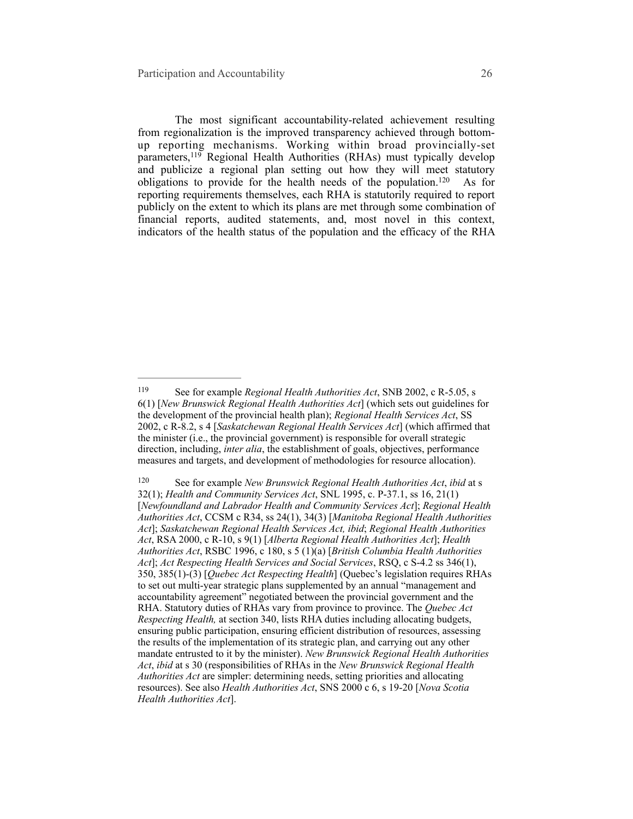The most significant accountability-related achievement resulting from regionalization is the improved transparency achieved through bottomup reporting mechanisms. Working within broad provincially-set parameters,  $119$  Regional Health Authorities (RHAs) must typically develop and publicize a regional plan setting out how they will meet statutory obligations to provide for the health needs of the population.<sup>120</sup> As for reporting requirements themselves, each RHA is statutorily required to report publicly on the extent to which its plans are met through some combination of financial reports, audited statements, and, most novel in this context, indicators of the health status of the population and the efficacy of the RHA

See for example *Regional Health Authorities Act*, SNB 2002, c R-5.05, s 119 6(1) [*New Brunswick Regional Health Authorities Act*] (which sets out guidelines for the development of the provincial health plan); *Regional Health Services Act*, SS 2002, c R-8.2, s 4 [*Saskatchewan Regional Health Services Act*] (which affirmed that the minister (i.e., the provincial government) is responsible for overall strategic direction, including, *inter alia*, the establishment of goals, objectives, performance measures and targets, and development of methodologies for resource allocation).

<sup>&</sup>lt;sup>120</sup> See for example *New Brunswick Regional Health Authorities Act*, *ibid* at s 32(1); *Health and Community Services Act*, SNL 1995, c. P-37.1, ss 16, 21(1) [*Newfoundland and Labrador Health and Community Services Act*]; *Regional Health Authorities Act*, CCSM c R34, ss 24(1), 34(3) [*Manitoba Regional Health Authorities Act*]; *Saskatchewan Regional Health Services Act, ibid*; *Regional Health Authorities Act*, RSA 2000, c R-10, s 9(1) [*Alberta Regional Health Authorities Act*]; *Health Authorities Act*, RSBC 1996, c 180, s 5 (1)(a) [*British Columbia Health Authorities Act*]; *Act Respecting Health Services and Social Services*, RSQ, c S-4.2 ss 346(1), 350, 385(1)-(3) [*Quebec Act Respecting Health*] (Quebec's legislation requires RHAs to set out multi-year strategic plans supplemented by an annual "management and accountability agreement" negotiated between the provincial government and the RHA. Statutory duties of RHAs vary from province to province. The *Quebec Act Respecting Health,* at section 340, lists RHA duties including allocating budgets, ensuring public participation, ensuring efficient distribution of resources, assessing the results of the implementation of its strategic plan, and carrying out any other mandate entrusted to it by the minister). *New Brunswick Regional Health Authorities Act*, *ibid* at s 30 (responsibilities of RHAs in the *New Brunswick Regional Health Authorities Act* are simpler: determining needs, setting priorities and allocating resources). See also *Health Authorities Act*, SNS 2000 c 6, s 19-20 [*Nova Scotia Health Authorities Act*].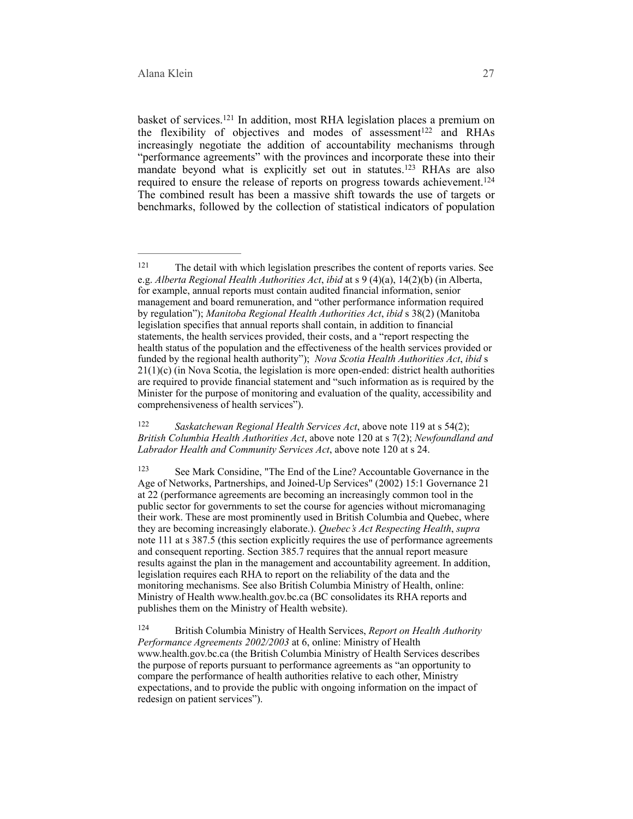basket of services.<sup>121</sup> In addition, most RHA legislation places a premium on the flexibility of objectives and modes of assessment<sup>122</sup> and RHAs increasingly negotiate the addition of accountability mechanisms through "performance agreements" with the provinces and incorporate these into their mandate beyond what is explicitly set out in statutes.<sup>123</sup> RHAs are also required to ensure the release of reports on progress towards achievement.124 The combined result has been a massive shift towards the use of targets or benchmarks, followed by the collection of statistical indicators of population

<sup>122</sup> Saskatchewan Regional Health Services Act, above note 119 at s 54(2); *British Columbia Health Authorities Act*, above note 120 at s 7(2); *Newfoundland and Labrador Health and Community Services Act*, above note 120 at s 24.

<sup>123</sup> See Mark Considine, "The End of the Line? Accountable Governance in the Age of Networks, Partnerships, and Joined-Up Services" (2002) 15:1 Governance 21 at 22 (performance agreements are becoming an increasingly common tool in the public sector for governments to set the course for agencies without micromanaging their work. These are most prominently used in British Columbia and Quebec, where they are becoming increasingly elaborate.). *Quebec's Act Respecting Health*, *supra* note 111 at s 387.5 (this section explicitly requires the use of performance agreements and consequent reporting. Section 385.7 requires that the annual report measure results against the plan in the management and accountability agreement. In addition, legislation requires each RHA to report on the reliability of the data and the monitoring mechanisms. See also British Columbia Ministry of Health, online: Ministry of Health [www.health.gov.bc.ca](http://www.health.gov.bc.ca) (BC consolidates its RHA reports and publishes them on the Ministry of Health website).

 British Columbia Ministry of Health Services, *Report on Health Authority* <sup>124</sup> *Performance Agreements 2002/2003* at 6, online: Ministry of Health [www.health.gov.bc.ca](http://www.health.gov.bc.ca) (the British Columbia Ministry of Health Services describes the purpose of reports pursuant to performance agreements as "an opportunity to compare the performance of health authorities relative to each other, Ministry expectations, and to provide the public with ongoing information on the impact of redesign on patient services").

<sup>&</sup>lt;sup>121</sup> The detail with which legislation prescribes the content of reports varies. See e.g. *Alberta Regional Health Authorities Act*, *ibid* at s 9 (4)(a), 14(2)(b) (in Alberta, for example, annual reports must contain audited financial information, senior management and board remuneration, and "other performance information required by regulation"); *Manitoba Regional Health Authorities Act*, *ibid* s 38(2) (Manitoba legislation specifies that annual reports shall contain, in addition to financial statements, the health services provided, their costs, and a "report respecting the health status of the population and the effectiveness of the health services provided or funded by the regional health authority"); *Nova Scotia Health Authorities Act*, *ibid* s 21(1)(c) (in Nova Scotia, the legislation is more open-ended: district health authorities are required to provide financial statement and "such information as is required by the Minister for the purpose of monitoring and evaluation of the quality, accessibility and comprehensiveness of health services").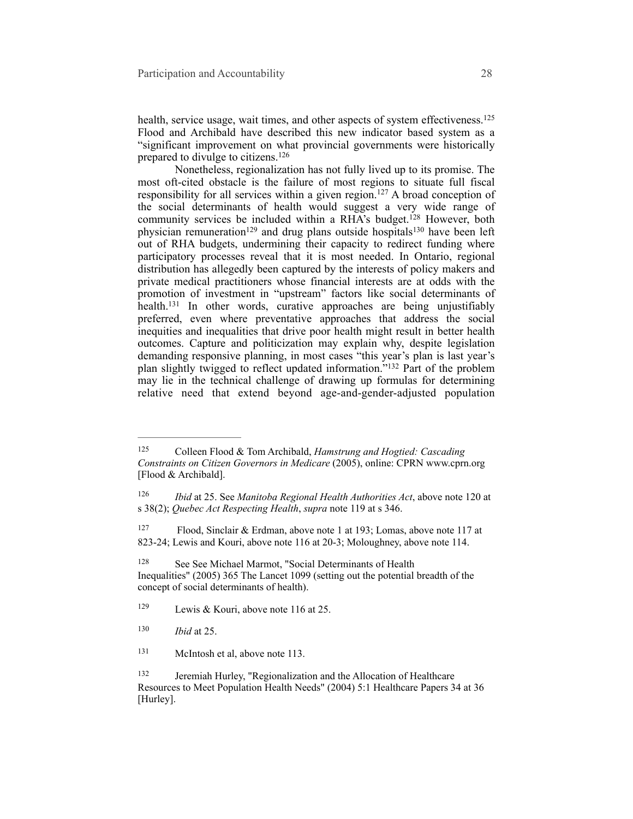health, service usage, wait times, and other aspects of system effectiveness.<sup>125</sup> Flood and Archibald have described this new indicator based system as a "significant improvement on what provincial governments were historically prepared to divulge to citizens.126

Nonetheless, regionalization has not fully lived up to its promise. The most oft-cited obstacle is the failure of most regions to situate full fiscal responsibility for all services within a given region.<sup>127</sup> A broad conception of the social determinants of health would suggest a very wide range of community services be included within a RHA's budget.<sup>128</sup> However, both physician remuneration<sup>129</sup> and drug plans outside hospitals<sup>130</sup> have been left out of RHA budgets, undermining their capacity to redirect funding where participatory processes reveal that it is most needed. In Ontario, regional distribution has allegedly been captured by the interests of policy makers and private medical practitioners whose financial interests are at odds with the promotion of investment in "upstream" factors like social determinants of health.<sup>131</sup> In other words, curative approaches are being unjustifiably preferred, even where preventative approaches that address the social inequities and inequalities that drive poor health might result in better health outcomes. Capture and politicization may explain why, despite legislation demanding responsive planning, in most cases "this year's plan is last year's plan slightly twigged to reflect updated information."<sup>132</sup> Part of the problem may lie in the technical challenge of drawing up formulas for determining relative need that extend beyond age-and-gender-adjusted population

130 *Ibid* at 25.

Colleen Flood & Tom Archibald, *Hamstrung and Hogtied: Cascading* <sup>125</sup> *Constraints on Citizen Governors in Medicare* (2005), online: CPRN www.cprn.org [Flood & Archibald].

*Ibid* at 25. See *Manitoba Regional Health Authorities Act*, above note 120 at 126 s 38(2); *Quebec Act Respecting Health*, *supra* note 119 at s 346.

Flood, Sinclair & Erdman, above note 1 at 193; Lomas, above note 117 at 127 823-24; Lewis and Kouri, above note 116 at 20-3; Moloughney, above note 114.

<sup>&</sup>lt;sup>128</sup> See See Michael Marmot, "Social Determinants of Health Inequalities" (2005) 365 The Lancet 1099 (setting out the potential breadth of the concept of social determinants of health).

<sup>&</sup>lt;sup>129</sup> Lewis & Kouri, above note 116 at 25.

<sup>&</sup>lt;sup>131</sup> McIntosh et al, above note 113.

Jeremiah Hurley, "Regionalization and the Allocation of Healthcare 132 Resources to Meet Population Health Needs" (2004) 5:1 Healthcare Papers 34 at 36 [Hurley].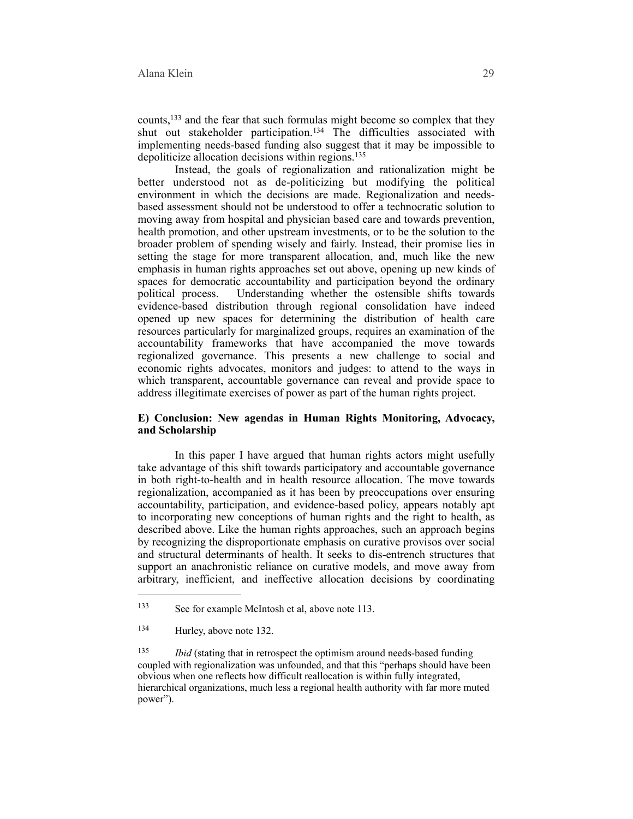counts,  $133$  and the fear that such formulas might become so complex that they shut out stakeholder participation.<sup>134</sup> The difficulties associated with implementing needs-based funding also suggest that it may be impossible to depoliticize allocation decisions within regions.<sup>135</sup>

Instead, the goals of regionalization and rationalization might be better understood not as de-politicizing but modifying the political environment in which the decisions are made. Regionalization and needsbased assessment should not be understood to offer a technocratic solution to moving away from hospital and physician based care and towards prevention, health promotion, and other upstream investments, or to be the solution to the broader problem of spending wisely and fairly. Instead, their promise lies in setting the stage for more transparent allocation, and, much like the new emphasis in human rights approaches set out above, opening up new kinds of spaces for democratic accountability and participation beyond the ordinary political process. Understanding whether the ostensible shifts towards evidence-based distribution through regional consolidation have indeed opened up new spaces for determining the distribution of health care resources particularly for marginalized groups, requires an examination of the accountability frameworks that have accompanied the move towards regionalized governance. This presents a new challenge to social and economic rights advocates, monitors and judges: to attend to the ways in which transparent, accountable governance can reveal and provide space to address illegitimate exercises of power as part of the human rights project.

## **E) Conclusion: New agendas in Human Rights Monitoring, Advocacy, and Scholarship**

In this paper I have argued that human rights actors might usefully take advantage of this shift towards participatory and accountable governance in both right-to-health and in health resource allocation. The move towards regionalization, accompanied as it has been by preoccupations over ensuring accountability, participation, and evidence-based policy, appears notably apt to incorporating new conceptions of human rights and the right to health, as described above. Like the human rights approaches, such an approach begins by recognizing the disproportionate emphasis on curative provisos over social and structural determinants of health. It seeks to dis-entrench structures that support an anachronistic reliance on curative models, and move away from arbitrary, inefficient, and ineffective allocation decisions by coordinating

<sup>&</sup>lt;sup>133</sup> See for example McIntosh et al, above note 113.

<sup>&</sup>lt;sup>134</sup> Hurley, above note 132.

<sup>135</sup> *Ibid* (stating that in retrospect the optimism around needs-based funding coupled with regionalization was unfounded, and that this "perhaps should have been obvious when one reflects how difficult reallocation is within fully integrated, hierarchical organizations, much less a regional health authority with far more muted power").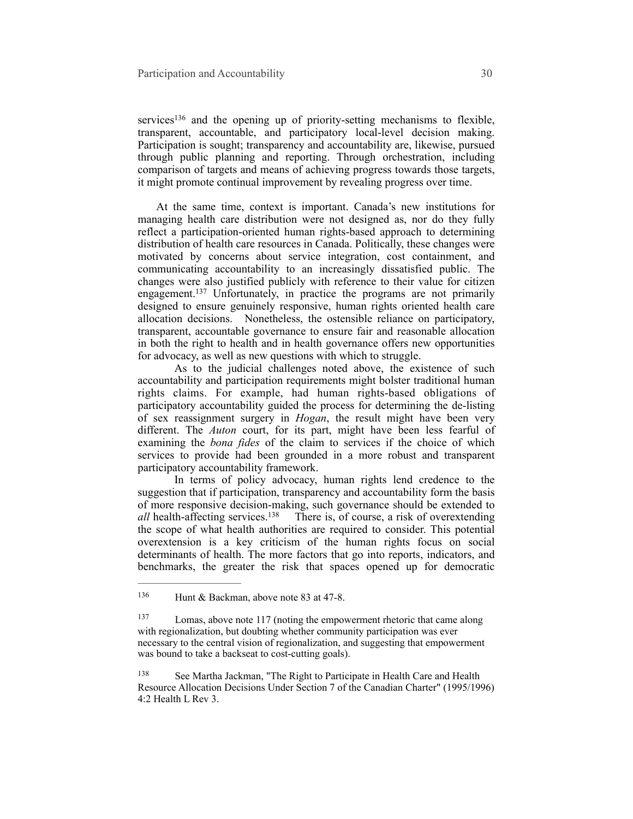services<sup>136</sup> and the opening up of priority-setting mechanisms to flexible, transparent, accountable, and participatory local-level decision making. Participation is sought; transparency and accountability are, likewise, pursued through public planning and reporting. Through orchestration, including comparison of targets and means of achieving progress towards those targets, it might promote continual improvement by revealing progress over time.

At the same time, context is important. Canada's new institutions for managing health care distribution were not designed as, nor do they fully reflect a participation-oriented human rights-based approach to determining distribution of health care resources in Canada. Politically, these changes were motivated by concerns about service integration, cost containment, and communicating accountability to an increasingly dissatisfied public. The changes were also justified publicly with reference to their value for citizen engagement.<sup>137</sup> Unfortunately, in practice the programs are not primarily designed to ensure genuinely responsive, human rights oriented health care allocation decisions. Nonetheless, the ostensible reliance on participatory, transparent, accountable governance to ensure fair and reasonable allocation in both the right to health and in health governance offers new opportunities for advocacy, as well as new questions with which to struggle.

As to the judicial challenges noted above, the existence of such accountability and participation requirements might bolster traditional human rights claims. For example, had human rights-based obligations of participatory accountability guided the process for determining the de-listing of sex reassignment surgery in *Hogan*, the result might have been very different. The *Auton* court, for its part, might have been less fearful of examining the *bona fides* of the claim to services if the choice of which services to provide had been grounded in a more robust and transparent participatory accountability framework.

In terms of policy advocacy, human rights lend credence to the suggestion that if participation, transparency and accountability form the basis of more responsive decision-making, such governance should be extended to *all* health-affecting services.<sup>138</sup> There is, of course, a risk of overextending the scope of what health authorities are required to consider. This potential overextension is a key criticism of the human rights focus on social determinants of health. The more factors that go into reports, indicators, and benchmarks, the greater the risk that spaces opened up for democratic

<sup>&</sup>lt;sup>136</sup> Hunt & Backman, above note 83 at 47-8.

<sup>&</sup>lt;sup>137</sup> Lomas, above note 117 (noting the empowerment rhetoric that came along with regionalization, but doubting whether community participation was ever necessary to the central vision of regionalization, and suggesting that empowerment was bound to take a backseat to cost-cutting goals).

<sup>&</sup>lt;sup>138</sup> See Martha Jackman, "The Right to Participate in Health Care and Health Resource Allocation Decisions Under Section 7 of the Canadian Charter" (1995/1996) 4:2 Health L Rev 3.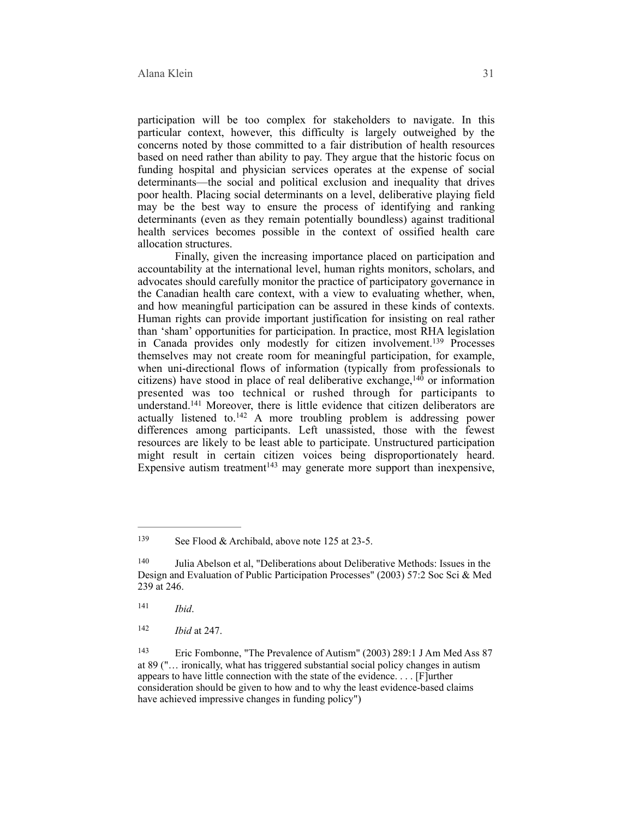participation will be too complex for stakeholders to navigate. In this particular context, however, this difficulty is largely outweighed by the concerns noted by those committed to a fair distribution of health resources based on need rather than ability to pay. They argue that the historic focus on funding hospital and physician services operates at the expense of social determinants—the social and political exclusion and inequality that drives poor health. Placing social determinants on a level, deliberative playing field may be the best way to ensure the process of identifying and ranking determinants (even as they remain potentially boundless) against traditional health services becomes possible in the context of ossified health care allocation structures.

 Finally, given the increasing importance placed on participation and accountability at the international level, human rights monitors, scholars, and advocates should carefully monitor the practice of participatory governance in the Canadian health care context, with a view to evaluating whether, when, and how meaningful participation can be assured in these kinds of contexts. Human rights can provide important justification for insisting on real rather than 'sham' opportunities for participation. In practice, most RHA legislation in Canada provides only modestly for citizen involvement.<sup>139</sup> Processes themselves may not create room for meaningful participation, for example, when uni-directional flows of information (typically from professionals to citizens) have stood in place of real deliberative exchange,  $140$  or information presented was too technical or rushed through for participants to understand.<sup>141</sup> Moreover, there is little evidence that citizen deliberators are actually listened to.<sup>142</sup> A more troubling problem is addressing power differences among participants. Left unassisted, those with the fewest resources are likely to be least able to participate. Unstructured participation might result in certain citizen voices being disproportionately heard. Expensive autism treatment<sup>143</sup> may generate more support than inexpensive,

<sup>&</sup>lt;sup>139</sup> See Flood & Archibald, above note 125 at 23-5.

Julia Abelson et al, "Deliberations about Deliberative Methods: Issues in the 140 Design and Evaluation of Public Participation Processes" (2003) 57:2 Soc Sci & Med 239 at 246.

*Ibid*. <sup>141</sup>

<sup>&</sup>lt;sup>142</sup> *Ibid* at 247.

<sup>&</sup>lt;sup>143</sup> Eric Fombonne, "The Prevalence of Autism" (2003) 289:1 J Am Med Ass 87 at 89 ("… ironically, what has triggered substantial social policy changes in autism appears to have little connection with the state of the evidence. . . . [F]urther consideration should be given to how and to why the least evidence-based claims have achieved impressive changes in funding policy")